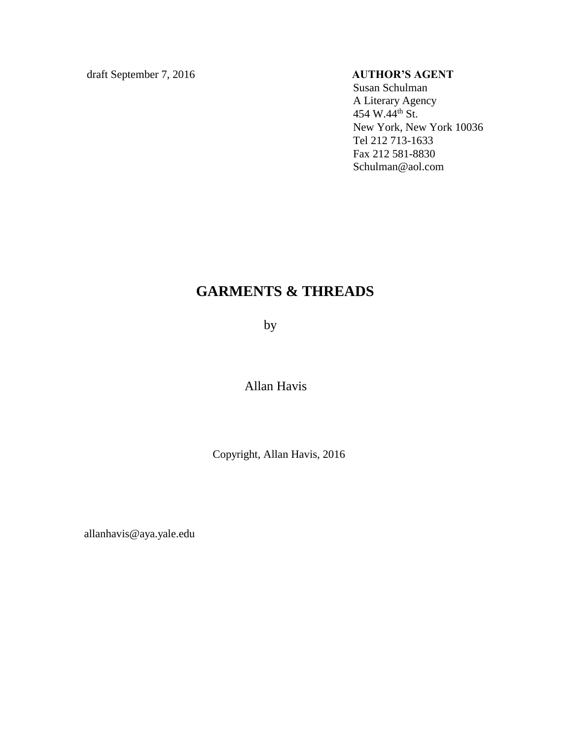draft September 7, 2016 **AUTHOR'S AGENT**

Susan Schulman A Literary Agency  $454$  W. $44$ <sup>th</sup> St. New York, New York 10036 Tel 212 713-1633 Fax 212 581-8830 Schulman@aol.com

# **GARMENTS & THREADS**

by

Allan Havis

Copyright, Allan Havis, 2016

allanhavis@aya.yale.edu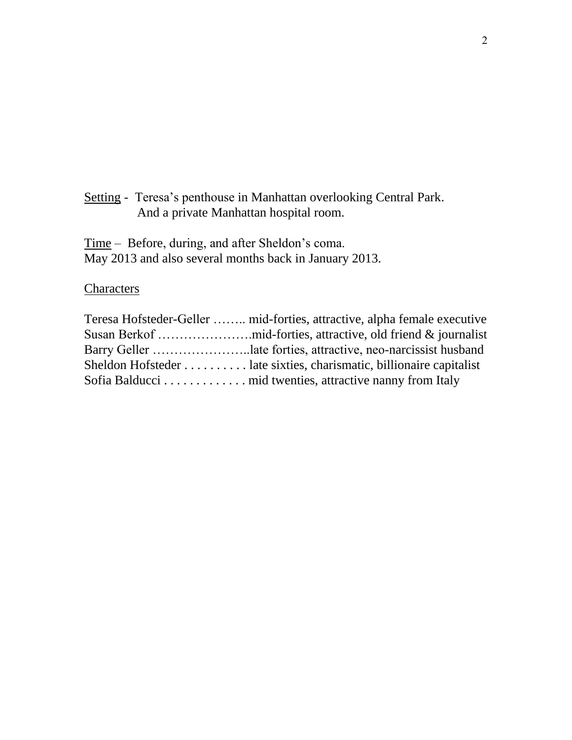Setting - Teresa's penthouse in Manhattan overlooking Central Park. And a private Manhattan hospital room.

Time – Before, during, and after Sheldon's coma. May 2013 and also several months back in January 2013.

# **Characters**

| Teresa Hofsteder-Geller  mid-forties, attractive, alpha female executive |
|--------------------------------------------------------------------------|
|                                                                          |
| Barry Geller late forties, attractive, neo-narcissist husband            |
| Sheldon Hofsteder late sixties, charismatic, billionaire capitalist      |
| Sofia Balducci mid twenties, attractive nanny from Italy                 |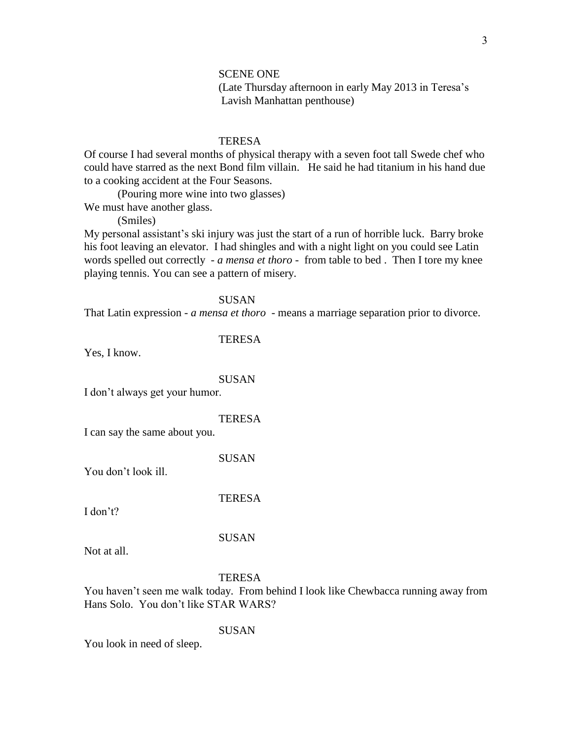# SCENE ONE (Late Thursday afternoon in early May 2013 in Teresa's Lavish Manhattan penthouse)

# **TERESA**

Of course I had several months of physical therapy with a seven foot tall Swede chef who could have starred as the next Bond film villain. He said he had titanium in his hand due to a cooking accident at the Four Seasons.

(Pouring more wine into two glasses)

We must have another glass.

(Smiles)

My personal assistant's ski injury was just the start of a run of horrible luck. Barry broke his foot leaving an elevator. I had shingles and with a night light on you could see Latin words spelled out correctly - *a mensa et thoro* - from table to bed . Then I tore my knee playing tennis. You can see a pattern of misery.

**SUSAN** 

That Latin expression - *a mensa et thoro* - means a marriage separation prior to divorce.

## **TERESA**

Yes, I know.

## SUSAN

I don't always get your humor.

# **TERESA**

I can say the same about you.

SUSAN

**TERESA** 

You don't look ill.

SUSAN

Not at all.

I don't?

## **TERESA**

You haven't seen me walk today. From behind I look like Chewbacca running away from Hans Solo. You don't like STAR WARS?

SUSAN

You look in need of sleep.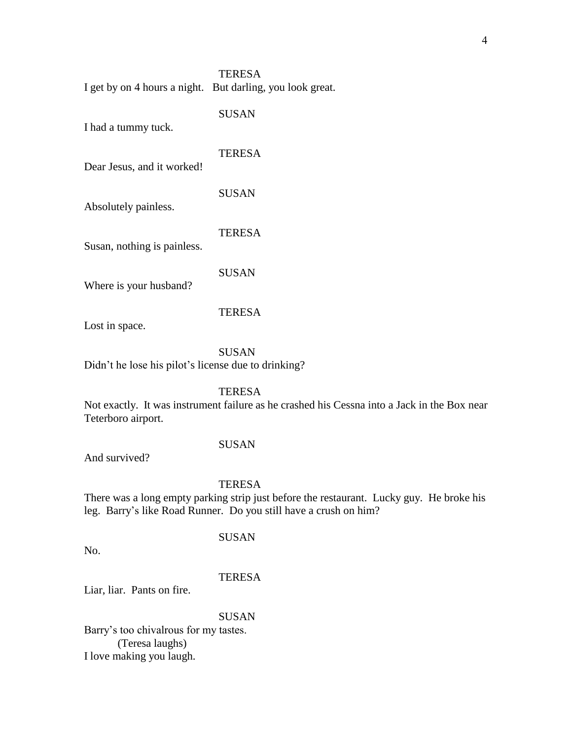| <b>TERESA</b>                                             |
|-----------------------------------------------------------|
| I get by on 4 hours a night. But darling, you look great. |

SUSAN

I had a tummy tuck.

**TERESA** 

Dear Jesus, and it worked!

SUSAN

Absolutely painless.

**TERESA** Susan, nothing is painless.

SUSAN

Where is your husband?

# TERESA

Lost in space.

SUSAN

Didn't he lose his pilot's license due to drinking?

**TERESA** 

Not exactly. It was instrument failure as he crashed his Cessna into a Jack in the Box near Teterboro airport.

# SUSAN

And survived?

# **TERESA**

There was a long empty parking strip just before the restaurant. Lucky guy. He broke his leg. Barry's like Road Runner. Do you still have a crush on him?

SUSAN

No.

# **TERESA**

Liar, liar. Pants on fire.

# SUSAN

Barry's too chivalrous for my tastes. (Teresa laughs) I love making you laugh.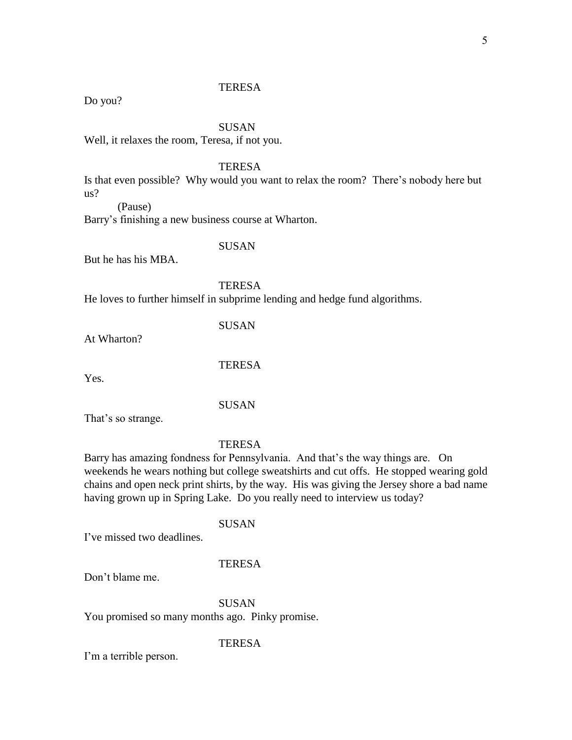Do you?

## SUSAN

Well, it relaxes the room, Teresa, if not you.

# **TERESA**

Is that even possible? Why would you want to relax the room? There's nobody here but us?

(Pause)

Barry's finishing a new business course at Wharton.

SUSAN

But he has his MBA.

**TERESA** 

He loves to further himself in subprime lending and hedge fund algorithms.

**SUSAN** 

At Wharton?

**TERESA** 

Yes.

SUSAN

That's so strange.

**TERESA** 

Barry has amazing fondness for Pennsylvania. And that's the way things are. On weekends he wears nothing but college sweatshirts and cut offs. He stopped wearing gold chains and open neck print shirts, by the way. His was giving the Jersey shore a bad name having grown up in Spring Lake. Do you really need to interview us today?

# SUSAN

I've missed two deadlines.

## **TERESA**

Don't blame me.

SUSAN You promised so many months ago. Pinky promise.

# **TERESA**

I'm a terrible person.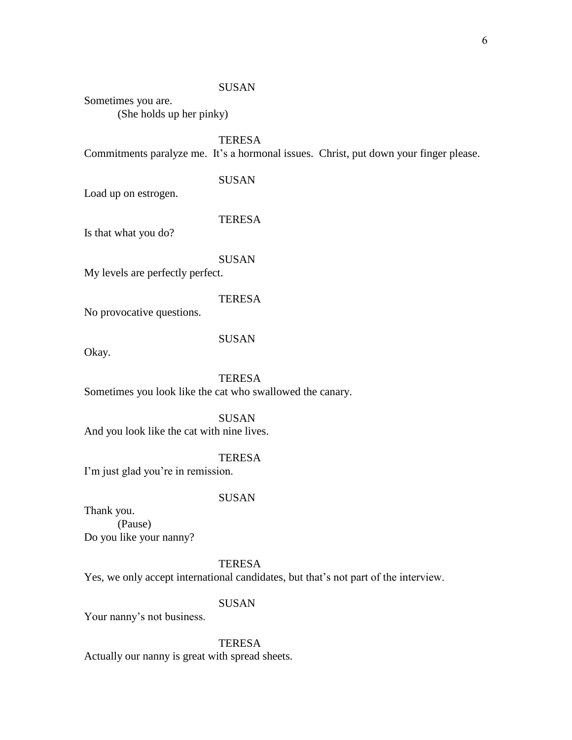# SUSAN

Sometimes you are.

(She holds up her pinky)

**TERESA** 

Commitments paralyze me. It's a hormonal issues. Christ, put down your finger please.

SUSAN

Load up on estrogen.

## **TERESA**

Is that what you do?

#### SUSAN

My levels are perfectly perfect.

# **TERESA**

No provocative questions.

# SUSAN

Okay.

**TERESA** Sometimes you look like the cat who swallowed the canary.

SUSAN And you look like the cat with nine lives.

## TERESA

I'm just glad you're in remission.

### SUSAN

Thank you. (Pause) Do you like your nanny?

# **TERESA**

Yes, we only accept international candidates, but that's not part of the interview.

# SUSAN

Your nanny's not business.

# **TERESA**

Actually our nanny is great with spread sheets.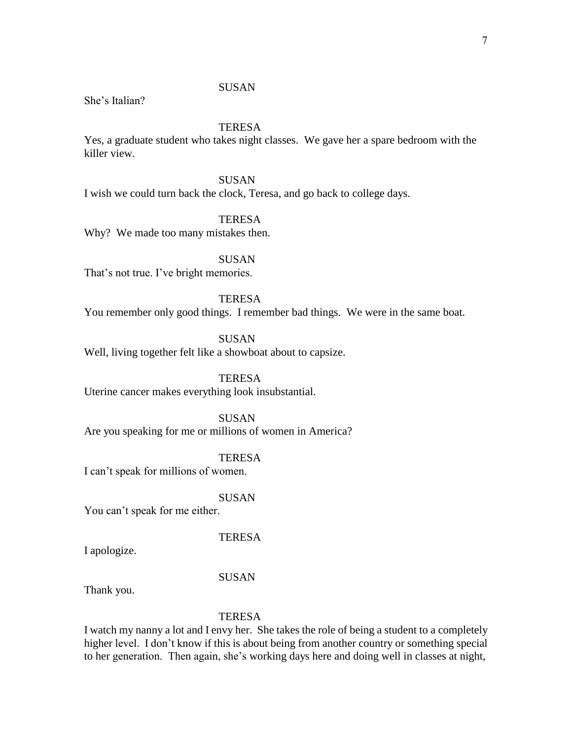# **SUSAN**

She's Italian?

# **TERESA**

Yes, a graduate student who takes night classes. We gave her a spare bedroom with the killer view.

SUSAN

I wish we could turn back the clock, Teresa, and go back to college days.

**TERESA** 

Why? We made too many mistakes then.

**SUSAN** 

That's not true. I've bright memories.

**TERESA** 

You remember only good things. I remember bad things. We were in the same boat.

SUSAN

Well, living together felt like a showboat about to capsize.

**TERESA** Uterine cancer makes everything look insubstantial.

SUSAN Are you speaking for me or millions of women in America?

TERESA

I can't speak for millions of women.

SUSAN

You can't speak for me either.

**TERESA** 

I apologize.

SUSAN

Thank you.

# **TERESA**

I watch my nanny a lot and I envy her. She takes the role of being a student to a completely higher level. I don't know if this is about being from another country or something special to her generation. Then again, she's working days here and doing well in classes at night,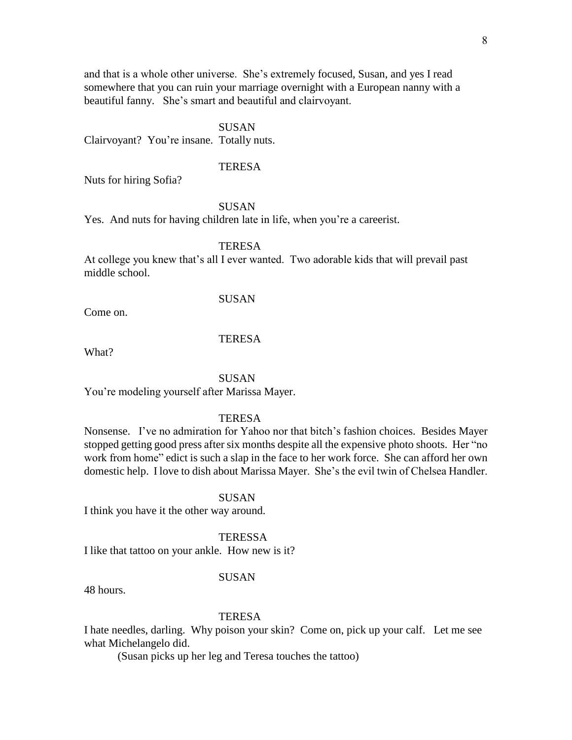and that is a whole other universe. She's extremely focused, Susan, and yes I read somewhere that you can ruin your marriage overnight with a European nanny with a beautiful fanny. She's smart and beautiful and clairvoyant.

## SUSAN

Clairvoyant? You're insane. Totally nuts.

# **TERESA**

Nuts for hiring Sofia?

SUSAN

Yes. And nuts for having children late in life, when you're a careerist.

TERESA

At college you knew that's all I ever wanted. Two adorable kids that will prevail past middle school.

# SUSAN

Come on.

# **TERESA**

What?

## **SUSAN**

You're modeling yourself after Marissa Mayer.

# **TERESA**

Nonsense. I've no admiration for Yahoo nor that bitch's fashion choices. Besides Mayer stopped getting good press after six months despite all the expensive photo shoots. Her "no work from home" edict is such a slap in the face to her work force. She can afford her own domestic help. I love to dish about Marissa Mayer. She's the evil twin of Chelsea Handler.

## SUSAN

I think you have it the other way around.

**TERESSA** 

I like that tattoo on your ankle. How new is it?

# SUSAN

48 hours.

# **TERESA**

I hate needles, darling. Why poison your skin? Come on, pick up your calf. Let me see what Michelangelo did.

(Susan picks up her leg and Teresa touches the tattoo)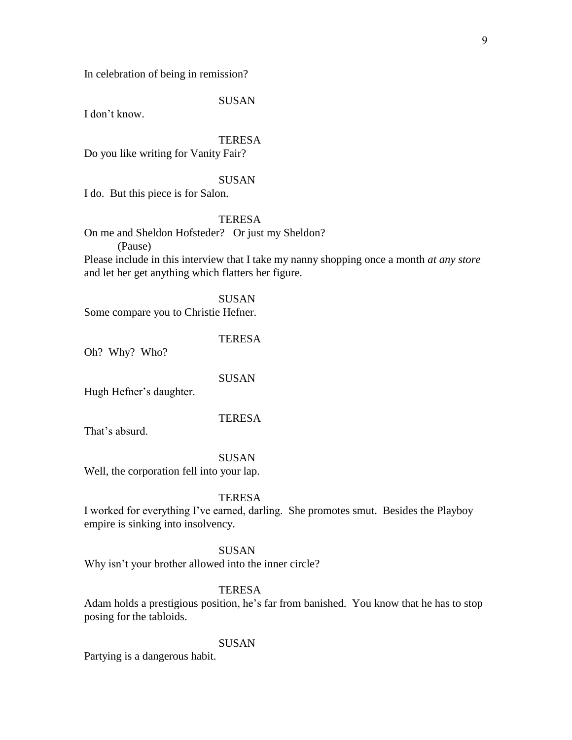In celebration of being in remission?

# SUSAN

I don't know.

# **TERESA**

Do you like writing for Vanity Fair?

## SUSAN

I do. But this piece is for Salon.

# **TERESA**

On me and Sheldon Hofsteder? Or just my Sheldon? (Pause)

Please include in this interview that I take my nanny shopping once a month *at any store* and let her get anything which flatters her figure.

SUSAN Some compare you to Christie Hefner.

**TERESA** 

Oh? Why? Who?

SUSAN

Hugh Hefner's daughter.

# **TERESA**

That's absurd.

# SUSAN

Well, the corporation fell into your lap.

# **TERESA**

I worked for everything I've earned, darling. She promotes smut. Besides the Playboy empire is sinking into insolvency.

## **SUSAN**

Why isn't your brother allowed into the inner circle?

# **TERESA**

Adam holds a prestigious position, he's far from banished. You know that he has to stop posing for the tabloids.

# SUSAN

Partying is a dangerous habit.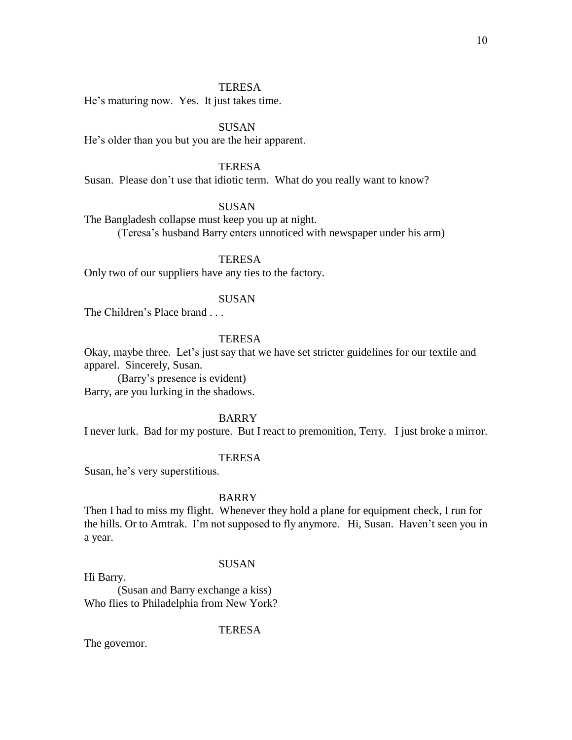He's maturing now. Yes. It just takes time.

SUSAN

He's older than you but you are the heir apparent.

## **TERESA**

Susan. Please don't use that idiotic term. What do you really want to know?

# SUSAN

The Bangladesh collapse must keep you up at night. (Teresa's husband Barry enters unnoticed with newspaper under his arm)

**TERESA** 

Only two of our suppliers have any ties to the factory.

# SUSAN

The Children's Place brand . . .

# **TERESA**

Okay, maybe three. Let's just say that we have set stricter guidelines for our textile and apparel. Sincerely, Susan.

(Barry's presence is evident) Barry, are you lurking in the shadows.

# BARRY

I never lurk. Bad for my posture. But I react to premonition, Terry. I just broke a mirror.

# **TERESA**

Susan, he's very superstitious.

#### BARRY

Then I had to miss my flight. Whenever they hold a plane for equipment check, I run for the hills. Or to Amtrak. I'm not supposed to fly anymore. Hi, Susan. Haven't seen you in a year.

## SUSAN

Hi Barry.

(Susan and Barry exchange a kiss) Who flies to Philadelphia from New York?

**TERESA** 

The governor.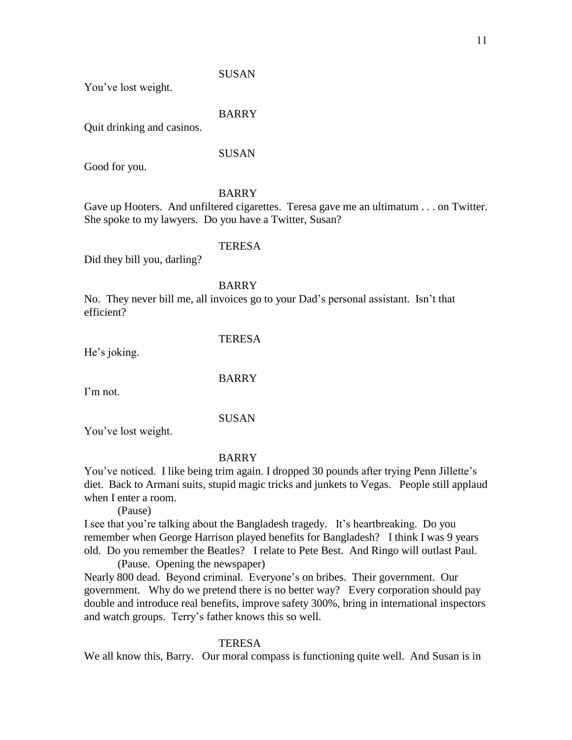**SUSAN** 

You've lost weight.

BARRY

Quit drinking and casinos.

SUSAN

Good for you.

# BARRY

Gave up Hooters. And unfiltered cigarettes. Teresa gave me an ultimatum . . . on Twitter. She spoke to my lawyers. Do you have a Twitter, Susan?

# TERESA

Did they bill you, darling?

BARRY

No. They never bill me, all invoices go to your Dad's personal assistant. Isn't that efficient?

**TERESA** 

He's joking.

BARRY

I'm not.

SUSAN

You've lost weight.

# BARRY

You've noticed. I like being trim again. I dropped 30 pounds after trying Penn Jillette's diet. Back to Armani suits, stupid magic tricks and junkets to Vegas. People still applaud when I enter a room.

(Pause)

I see that you're talking about the Bangladesh tragedy. It's heartbreaking. Do you remember when George Harrison played benefits for Bangladesh? I think I was 9 years old. Do you remember the Beatles? I relate to Pete Best. And Ringo will outlast Paul.

(Pause. Opening the newspaper)

Nearly 800 dead. Beyond criminal. Everyone's on bribes. Their government. Our government. Why do we pretend there is no better way? Every corporation should pay double and introduce real benefits, improve safety 300%, bring in international inspectors and watch groups. Terry's father knows this so well.

# **TERESA**

We all know this, Barry. Our moral compass is functioning quite well. And Susan is in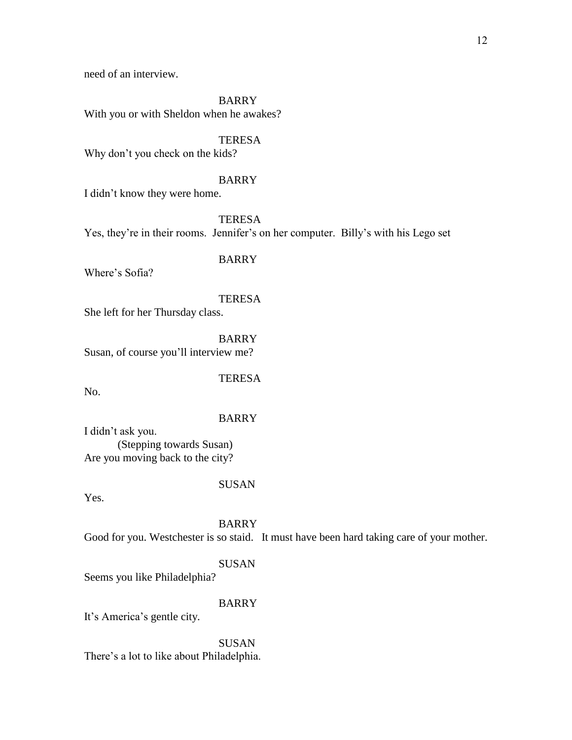need of an interview.

BARRY

With you or with Sheldon when he awakes?

# **TERESA**

Why don't you check on the kids?

# BARRY

I didn't know they were home.

**TERESA** Yes, they're in their rooms. Jennifer's on her computer. Billy's with his Lego set

# BARRY

Where's Sofia?

# **TERESA**

She left for her Thursday class.

BARRY Susan, of course you'll interview me?

No.

# BARRY

**TERESA** 

I didn't ask you. (Stepping towards Susan) Are you moving back to the city?

# SUSAN

Yes.

BARRY Good for you. Westchester is so staid. It must have been hard taking care of your mother.

# SUSAN

Seems you like Philadelphia?

# BARRY

It's America's gentle city.

**SUSAN** There's a lot to like about Philadelphia.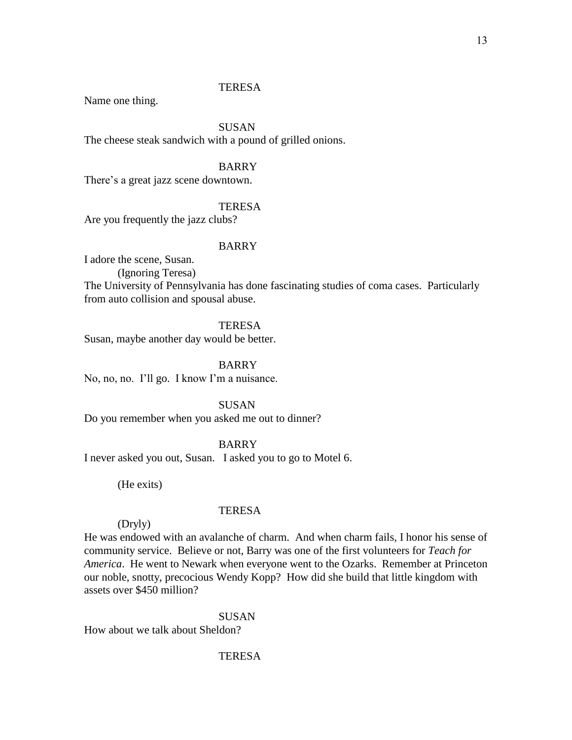Name one thing.

# SUSAN

The cheese steak sandwich with a pound of grilled onions.

# BARRY

There's a great jazz scene downtown.

# **TERESA**

Are you frequently the jazz clubs?

# BARRY

I adore the scene, Susan.

(Ignoring Teresa)

The University of Pennsylvania has done fascinating studies of coma cases. Particularly from auto collision and spousal abuse.

# **TERESA**

Susan, maybe another day would be better.

BARRY

No, no, no. I'll go. I know I'm a nuisance.

SUSAN

Do you remember when you asked me out to dinner?

# BARRY

I never asked you out, Susan. I asked you to go to Motel 6.

(He exits)

## **TERESA**

# (Dryly)

He was endowed with an avalanche of charm. And when charm fails, I honor his sense of community service. Believe or not, Barry was one of the first volunteers for *Teach for America*. He went to Newark when everyone went to the Ozarks. Remember at Princeton our noble, snotty, precocious Wendy Kopp? How did she build that little kingdom with assets over \$450 million?

### SUSAN

How about we talk about Sheldon?

# **TERESA**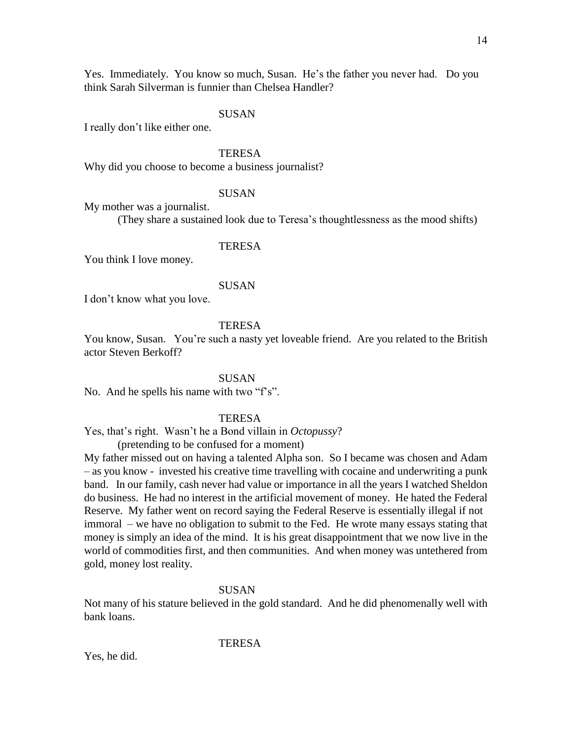Yes. Immediately. You know so much, Susan. He's the father you never had. Do you think Sarah Silverman is funnier than Chelsea Handler?

## SUSAN

I really don't like either one.

## **TERESA**

Why did you choose to become a business journalist?

#### SUSAN

My mother was a journalist.

(They share a sustained look due to Teresa's thoughtlessness as the mood shifts)

## TERESA

You think I love money.

## SUSAN

I don't know what you love.

# **TERESA**

You know, Susan. You're such a nasty yet loveable friend. Are you related to the British actor Steven Berkoff?

## **SUSAN**

No. And he spells his name with two "f's".

# **TERESA**

Yes, that's right. Wasn't he a Bond villain in *Octopussy*?

(pretending to be confused for a moment)

My father missed out on having a talented Alpha son. So I became was chosen and Adam – as you know - invested his creative time travelling with cocaine and underwriting a punk band. In our family, cash never had value or importance in all the years I watched Sheldon do business. He had no interest in the artificial movement of money. He hated the Federal Reserve. My father went on record saying the Federal Reserve is essentially illegal if not immoral – we have no obligation to submit to the Fed. He wrote many essays stating that money is simply an idea of the mind. It is his great disappointment that we now live in the world of commodities first, and then communities. And when money was untethered from gold, money lost reality.

### **SUSAN**

Not many of his stature believed in the gold standard. And he did phenomenally well with bank loans.

**TERESA** 

Yes, he did.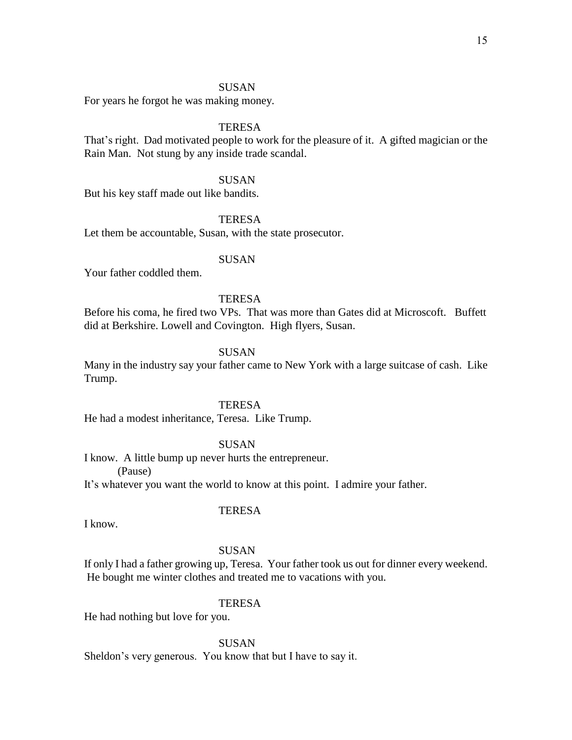# SUSAN

For years he forgot he was making money.

# **TERESA**

That's right. Dad motivated people to work for the pleasure of it. A gifted magician or the Rain Man. Not stung by any inside trade scandal.

# SUSAN

But his key staff made out like bandits.

# **TERESA**

Let them be accountable, Susan, with the state prosecutor.

# **SUSAN**

Your father coddled them.

# **TERESA**

Before his coma, he fired two VPs. That was more than Gates did at Microscoft. Buffett did at Berkshire. Lowell and Covington. High flyers, Susan.

# SUSAN

Many in the industry say your father came to New York with a large suitcase of cash. Like Trump.

# **TERESA**

He had a modest inheritance, Teresa. Like Trump.

# SUSAN

I know. A little bump up never hurts the entrepreneur. (Pause) It's whatever you want the world to know at this point. I admire your father.

# **TERESA**

I know.

# **SUSAN**

If only I had a father growing up, Teresa. Your father took us out for dinner every weekend. He bought me winter clothes and treated me to vacations with you.

# **TERESA**

He had nothing but love for you.

SUSAN

Sheldon's very generous. You know that but I have to say it.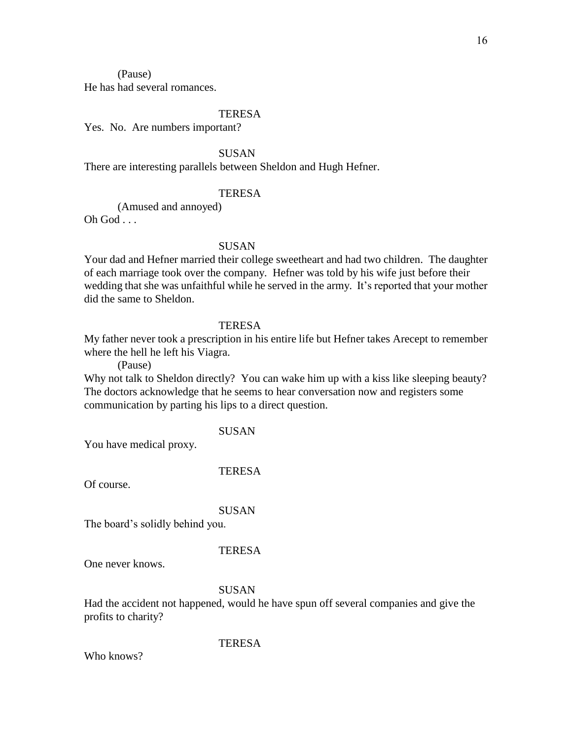(Pause)

He has had several romances.

# TERESA

Yes. No. Are numbers important?

SUSAN

There are interesting parallels between Sheldon and Hugh Hefner.

## **TERESA**

(Amused and annoyed)

 $Oh God$  . . .

# SUSAN

Your dad and Hefner married their college sweetheart and had two children. The daughter of each marriage took over the company. Hefner was told by his wife just before their wedding that she was unfaithful while he served in the army. It's reported that your mother did the same to Sheldon.

# **TERESA**

My father never took a prescription in his entire life but Hefner takes Arecept to remember where the hell he left his Viagra.

(Pause)

Why not talk to Sheldon directly? You can wake him up with a kiss like sleeping beauty? The doctors acknowledge that he seems to hear conversation now and registers some communication by parting his lips to a direct question.

# SUSAN

You have medical proxy.

#### TERESA

Of course.

#### **SUSAN**

The board's solidly behind you.

#### **TERESA**

One never knows.

#### SUSAN

Had the accident not happened, would he have spun off several companies and give the profits to charity?

# **TERESA**

Who knows?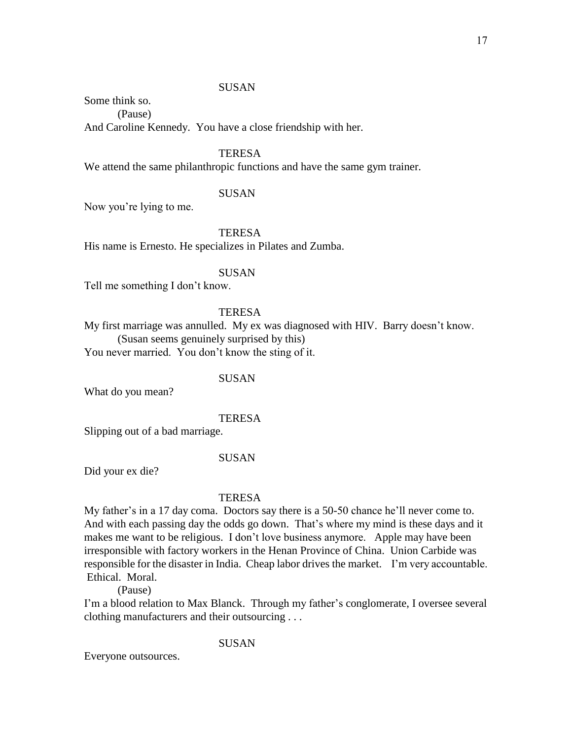# **SUSAN**

Some think so.

(Pause) And Caroline Kennedy. You have a close friendship with her.

# **TERESA**

We attend the same philanthropic functions and have the same gym trainer.

# SUSAN

Now you're lying to me.

**TERESA** 

His name is Ernesto. He specializes in Pilates and Zumba.

# SUSAN

Tell me something I don't know.

# TERESA

My first marriage was annulled. My ex was diagnosed with HIV. Barry doesn't know. (Susan seems genuinely surprised by this) You never married. You don't know the sting of it.

# **SUSAN**

What do you mean?

**TERESA** 

Slipping out of a bad marriage.

# SUSAN

Did your ex die?

# **TERESA**

My father's in a 17 day coma. Doctors say there is a 50-50 chance he'll never come to. And with each passing day the odds go down. That's where my mind is these days and it makes me want to be religious. I don't love business anymore. Apple may have been irresponsible with factory workers in the Henan Province of China. Union Carbide was responsible for the disaster in India. Cheap labor drives the market. I'm very accountable. Ethical. Moral.

(Pause)

I'm a blood relation to Max Blanck. Through my father's conglomerate, I oversee several clothing manufacturers and their outsourcing . . .

# SUSAN

Everyone outsources.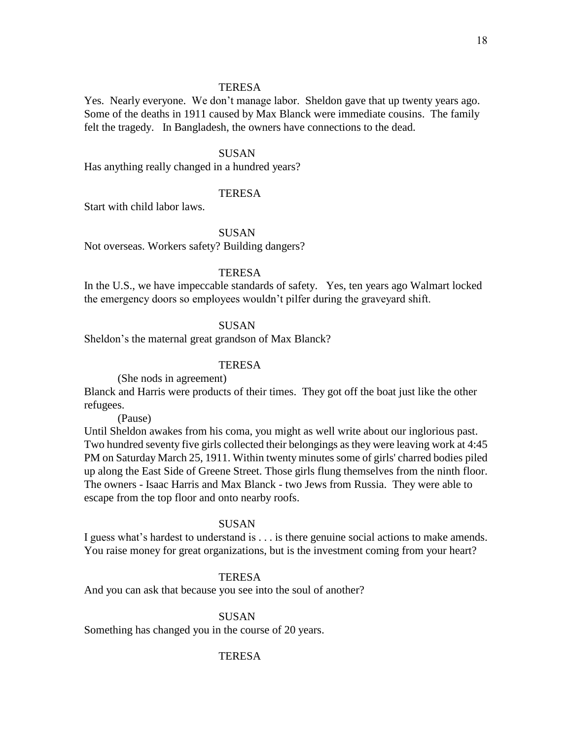Yes. Nearly everyone. We don't manage labor. Sheldon gave that up twenty years ago. Some of the deaths in 1911 caused by Max Blanck were immediate cousins. The family felt the tragedy. In Bangladesh, the owners have connections to the dead.

## SUSAN

Has anything really changed in a hundred years?

## **TERESA**

Start with child labor laws.

SUSAN

Not overseas. Workers safety? Building dangers?

# **TERESA**

In the U.S., we have impeccable standards of safety. Yes, ten years ago Walmart locked the emergency doors so employees wouldn't pilfer during the graveyard shift.

**SUSAN** 

Sheldon's the maternal great grandson of Max Blanck?

# **TERESA**

(She nods in agreement)

Blanck and Harris were products of their times. They got off the boat just like the other refugees.

(Pause)

Until Sheldon awakes from his coma, you might as well write about our inglorious past. Two hundred seventy five girls collected their belongings as they were leaving work at 4:45 PM on Saturday March 25, 1911. Within twenty minutes some of girls' charred bodies piled up along the East Side of Greene Street. Those girls flung themselves from the ninth floor. The owners - Isaac Harris and Max Blanck - two Jews from Russia. They were able to escape from the top floor and onto nearby roofs.

# SUSAN

I guess what's hardest to understand is . . . is there genuine social actions to make amends. You raise money for great organizations, but is the investment coming from your heart?

## **TERESA**

And you can ask that because you see into the soul of another?

#### SUSAN

Something has changed you in the course of 20 years.

#### TERESA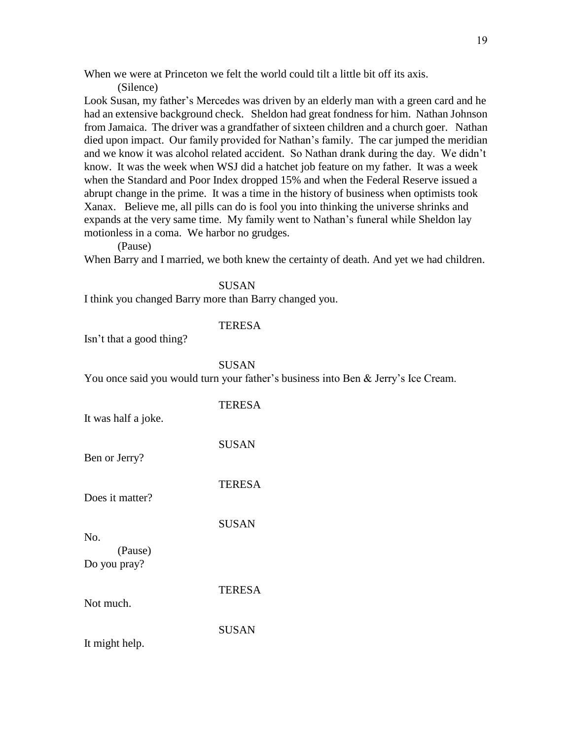When we were at Princeton we felt the world could tilt a little bit off its axis.

(Silence)

Look Susan, my father's Mercedes was driven by an elderly man with a green card and he had an extensive background check. Sheldon had great fondness for him. Nathan Johnson from Jamaica. The driver was a grandfather of sixteen children and a church goer. Nathan died upon impact. Our family provided for Nathan's family. The car jumped the meridian and we know it was alcohol related accident. So Nathan drank during the day. We didn't know. It was the week when WSJ did a hatchet job feature on my father. It was a week when the Standard and Poor Index dropped 15% and when the Federal Reserve issued a abrupt change in the prime. It was a time in the history of business when optimists took Xanax. Believe me, all pills can do is fool you into thinking the universe shrinks and expands at the very same time. My family went to Nathan's funeral while Sheldon lay motionless in a coma. We harbor no grudges.

(Pause)

When Barry and I married, we both knew the certainty of death. And yet we had children.

SUSAN

I think you changed Barry more than Barry changed you.

# **TERESA**

Isn't that a good thing?

# SUSAN

You once said you would turn your father's business into Ben & Jerry's Ice Cream.

| It was half a joke.     | <b>TERESA</b> |
|-------------------------|---------------|
| Ben or Jerry?           | <b>SUSAN</b>  |
| Does it matter?         | <b>TERESA</b> |
| No.                     | <b>SUSAN</b>  |
| (Pause)<br>Do you pray? |               |
| Not much.               | <b>TERESA</b> |
| It might help.          | <b>SUSAN</b>  |
|                         |               |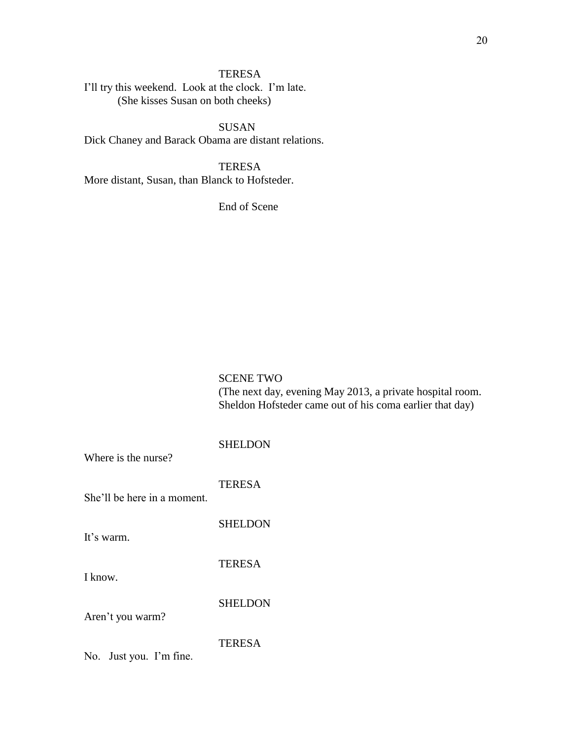I'll try this weekend. Look at the clock. I'm late. (She kisses Susan on both cheeks)

SUSAN Dick Chaney and Barack Obama are distant relations.

**TERESA** More distant, Susan, than Blanck to Hofsteder.

End of Scene

SCENE TWO (The next day, evening May 2013, a private hospital room. Sheldon Hofsteder came out of his coma earlier that day)

SHELDON Where is the nurse? **TERESA** She'll be here in a moment. **SHELDON** It's warm. TERESA I know. **SHELDON** Aren't you warm? TERESA No. Just you. I'm fine.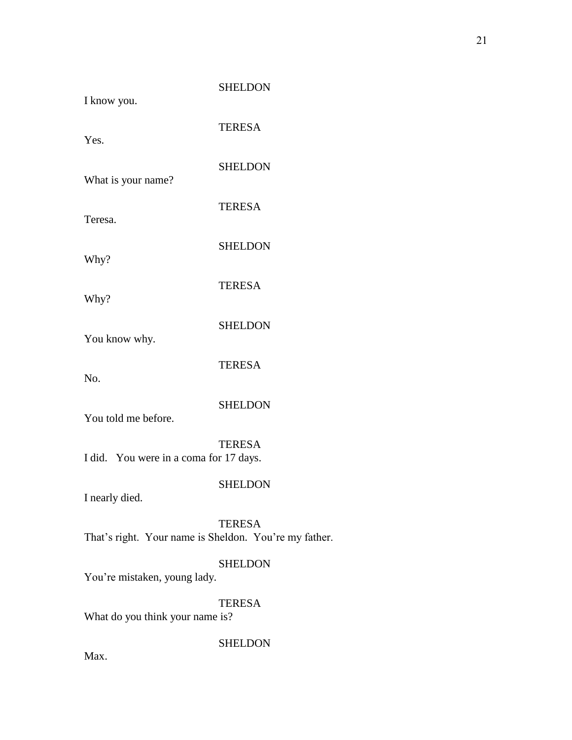| I know you.                                | <b>SHELDON</b> |
|--------------------------------------------|----------------|
| Yes.                                       | <b>TERESA</b>  |
| What is your name?                         | <b>SHELDON</b> |
| Teresa.                                    | <b>TERESA</b>  |
| Why?                                       | <b>SHELDON</b> |
| Why?                                       | <b>TERESA</b>  |
| You know why.                              | <b>SHELDON</b> |
| No.                                        | <b>TERESA</b>  |
| You told me before.                        | <b>SHELDON</b> |
| I did. You were in a coma for 17 days.     | <b>TERESA</b>  |
| I nearly died.                             | <b>SHELDON</b> |
| That's right. Your name is Sheldon. You're | <b>TERESA</b>  |
| You're mistaken, young lady.               | <b>SHELDON</b> |
| What do you think your name is?            | <b>TERESA</b>  |
|                                            | <b>SHELDON</b> |

e my father.

Max.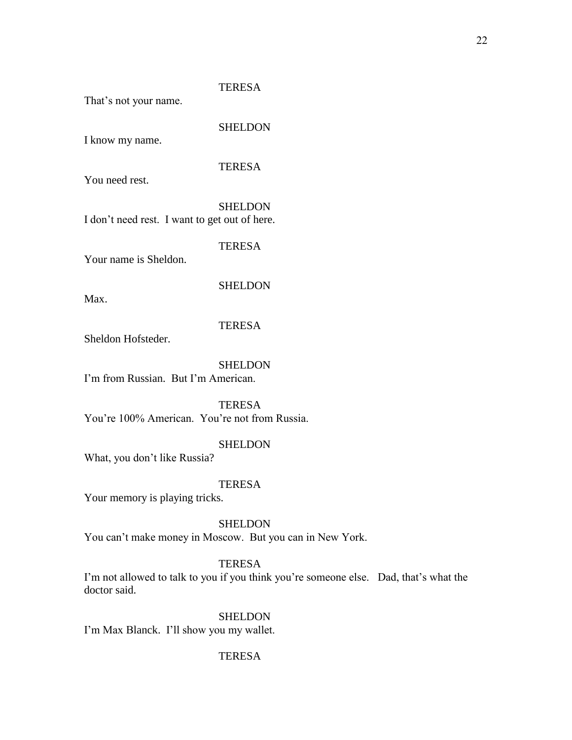That's not your name.

SHELDON

I know my name.

# **TERESA**

You need rest.

**SHELDON** I don't need rest. I want to get out of here.

**TERESA** 

Your name is Sheldon.

# **SHELDON**

Max.

# **TERESA**

Sheldon Hofsteder.

# **SHELDON**

I'm from Russian. But I'm American.

**TERESA** You're 100% American. You're not from Russia.

# SHELDON

What, you don't like Russia?

# **TERESA**

Your memory is playing tricks.

## SHELDON

You can't make money in Moscow. But you can in New York.

# TERESA

I'm not allowed to talk to you if you think you're someone else. Dad, that's what the doctor said.

# **SHELDON**

I'm Max Blanck. I'll show you my wallet.

# **TERESA**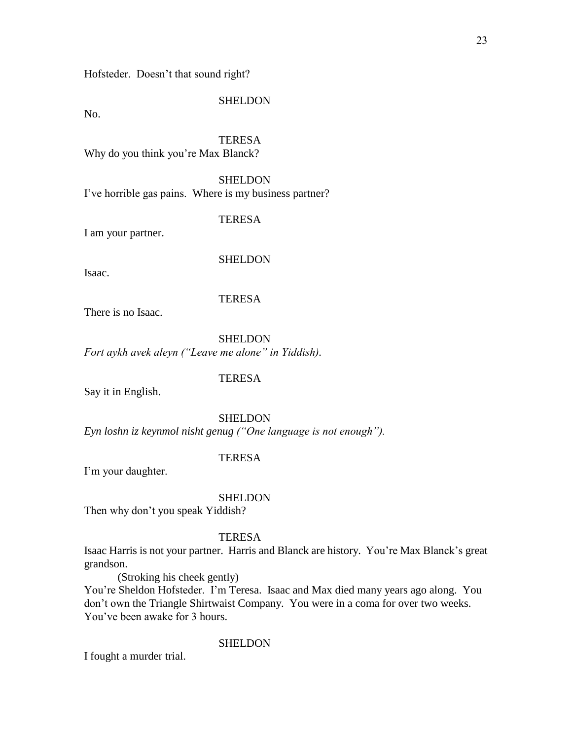Hofsteder. Doesn't that sound right?

### **SHELDON**

No.

# **TERESA**

Why do you think you're Max Blanck?

#### **SHELDON**

I've horrible gas pains. Where is my business partner?

#### TERESA

I am your partner.

## SHELDON

Isaac.

## **TERESA**

There is no Isaac.

**SHELDON** *Fort aykh avek aleyn ("Leave me alone" in Yiddish).*

## **TERESA**

Say it in English.

# **SHELDON**

*Eyn loshn iz keynmol nisht genug ("One language is not enough").*

# TERESA

I'm your daughter.

#### SHELDON

Then why don't you speak Yiddish?

## **TERESA**

Isaac Harris is not your partner. Harris and Blanck are history. You're Max Blanck's great grandson.

(Stroking his cheek gently)

You're Sheldon Hofsteder. I'm Teresa. Isaac and Max died many years ago along. You don't own the Triangle Shirtwaist Company. You were in a coma for over two weeks. You've been awake for 3 hours.

# **SHELDON**

I fought a murder trial.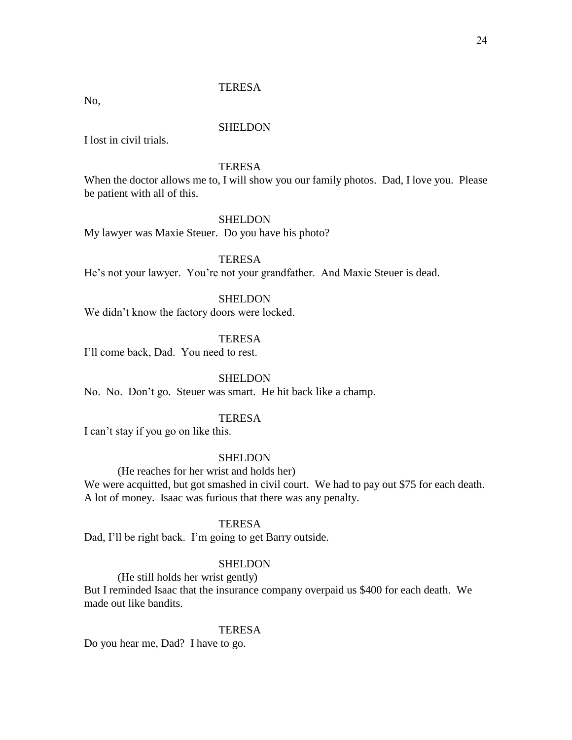No,

## **SHELDON**

I lost in civil trials.

# **TERESA**

When the doctor allows me to, I will show you our family photos. Dad, I love you. Please be patient with all of this.

## SHELDON

My lawyer was Maxie Steuer. Do you have his photo?

# **TERESA**

He's not your lawyer. You're not your grandfather. And Maxie Steuer is dead.

# **SHELDON**

We didn't know the factory doors were locked.

# **TERESA**

I'll come back, Dad. You need to rest.

## **SHELDON**

No. No. Don't go. Steuer was smart. He hit back like a champ.

# **TERESA**

I can't stay if you go on like this.

## SHELDON

(He reaches for her wrist and holds her)

We were acquitted, but got smashed in civil court. We had to pay out \$75 for each death. A lot of money. Isaac was furious that there was any penalty.

## **TERESA**

Dad, I'll be right back. I'm going to get Barry outside.

#### SHELDON

(He still holds her wrist gently)

But I reminded Isaac that the insurance company overpaid us \$400 for each death. We made out like bandits.

#### **TERESA**

Do you hear me, Dad? I have to go.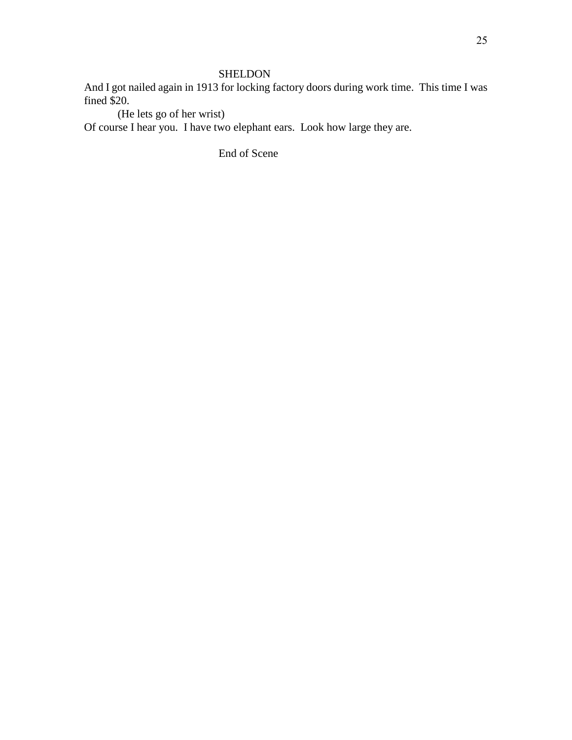# SHELDON

And I got nailed again in 1913 for locking factory doors during work time. This time I was fined \$20.

(He lets go of her wrist)

Of course I hear you. I have two elephant ears. Look how large they are.

End of Scene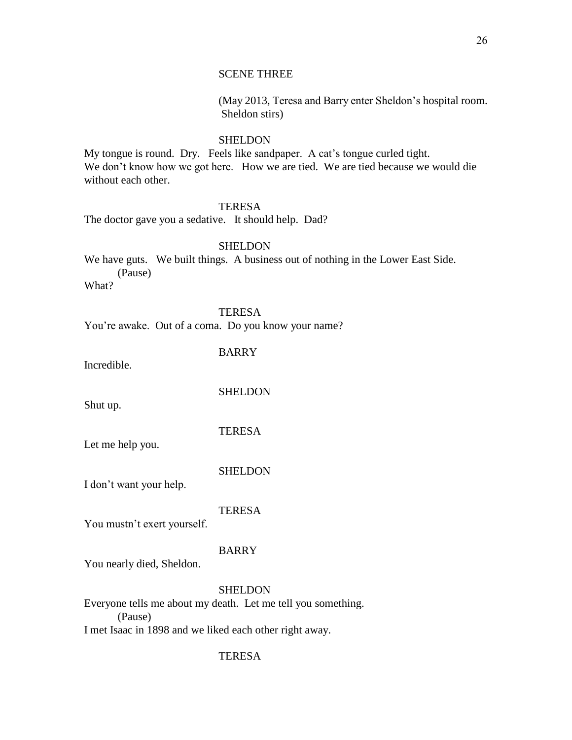# SCENE THREE

(May 2013, Teresa and Barry enter Sheldon's hospital room. Sheldon stirs)

# **SHELDON**

My tongue is round. Dry. Feels like sandpaper. A cat's tongue curled tight. We don't know how we got here. How we are tied. We are tied because we would die without each other.

# **TERESA**

The doctor gave you a sedative. It should help. Dad?

## SHELDON

We have guts. We built things. A business out of nothing in the Lower East Side. (Pause)

What?

## TERESA

You're awake. Out of a coma. Do you know your name?

BARRY

Incredible.

**SHELDON** 

Shut up.

#### **TERESA**

Let me help you.

#### SHELDON

I don't want your help.

# **TERESA**

You mustn't exert yourself.

## BARRY

You nearly died, Sheldon.

## **SHELDON**

Everyone tells me about my death. Let me tell you something. (Pause) I met Isaac in 1898 and we liked each other right away.

## **TERESA**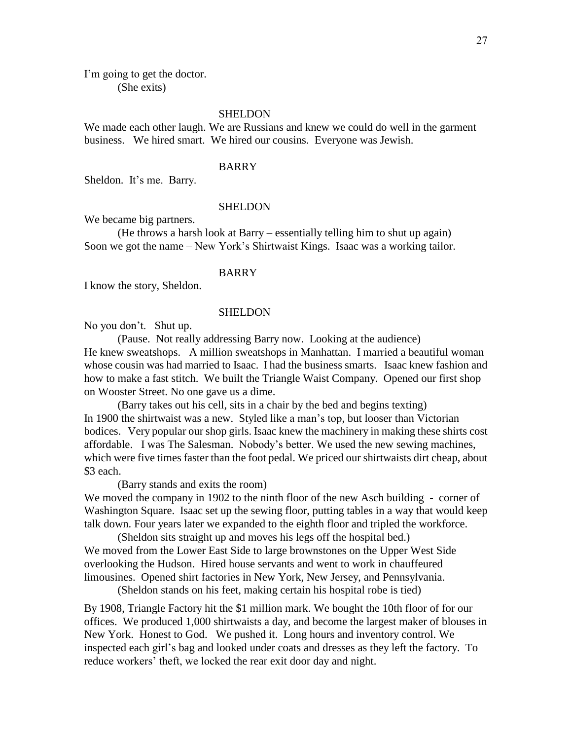I'm going to get the doctor. (She exits)

## SHELDON

We made each other laugh. We are Russians and knew we could do well in the garment business. We hired smart. We hired our cousins. Everyone was Jewish.

## BARRY

Sheldon. It's me. Barry.

#### SHELDON

We became big partners.

(He throws a harsh look at Barry – essentially telling him to shut up again) Soon we got the name – New York's Shirtwaist Kings. Isaac was a working tailor.

## BARRY

I know the story, Sheldon.

#### SHELDON

No you don't. Shut up.

(Pause. Not really addressing Barry now. Looking at the audience) He knew sweatshops. A million sweatshops in Manhattan. I married a beautiful woman whose cousin was had married to Isaac. I had the business smarts. Isaac knew fashion and how to make a fast stitch. We built the Triangle Waist Company. Opened our first shop on Wooster Street. No one gave us a dime.

(Barry takes out his cell, sits in a chair by the bed and begins texting) In 1900 the shirtwaist was a new. Styled like a man's top, but looser than Victorian bodices. Very popular our shop girls. Isaac knew the machinery in making these shirts cost affordable. I was The Salesman. Nobody's better. We used the new sewing machines, which were five times faster than the foot pedal. We priced our shirtwaists dirt cheap, about \$3 each.

(Barry stands and exits the room)

We moved the company in 1902 to the ninth floor of the new Asch building - corner of Washington Square. Isaac set up the sewing floor, putting tables in a way that would keep talk down. Four years later we expanded to the eighth floor and tripled the workforce.

(Sheldon sits straight up and moves his legs off the hospital bed.) We moved from the Lower East Side to large brownstones on the Upper West Side overlooking the Hudson. Hired house servants and went to work in chauffeured limousines. Opened shirt factories in New York, New Jersey, and Pennsylvania.

(Sheldon stands on his feet, making certain his hospital robe is tied)

By 1908, Triangle Factory hit the \$1 million mark. We bought the 10th floor of for our offices. We produced 1,000 shirtwaists a day, and become the largest maker of blouses in New York. Honest to God. We pushed it. Long hours and inventory control. We inspected each girl's bag and looked under coats and dresses as they left the factory. To reduce workers' theft, we locked the rear exit door day and night.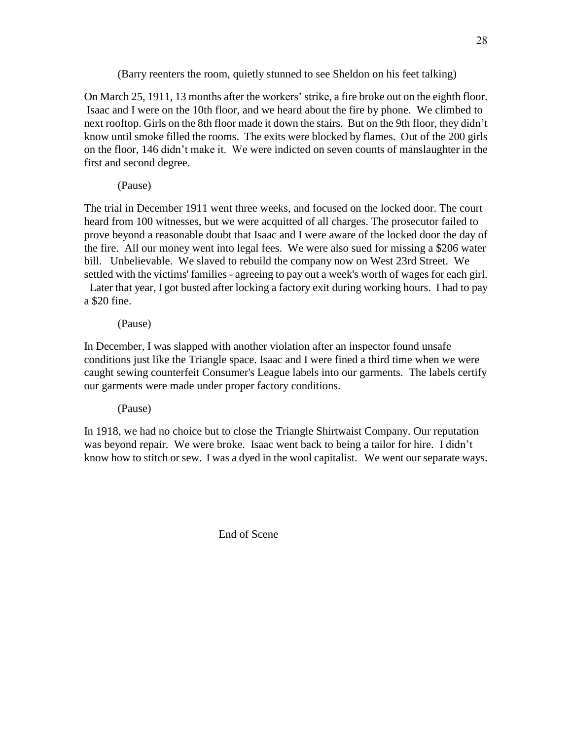(Barry reenters the room, quietly stunned to see Sheldon on his feet talking)

On March 25, 1911, 13 months after the workers' strike, a fire broke out on the eighth floor. Isaac and I were on the 10th floor, and we heard about the fire by phone. We climbed to next rooftop. Girls on the 8th floor made it down the stairs. But on the 9th floor, they didn't know until smoke filled the rooms. The exits were blocked by flames. Out of the 200 girls on the floor, 146 didn't make it. We were indicted on seven counts of manslaughter in the first and second degree.

(Pause)

The trial in December 1911 went three weeks, and focused on the locked door. The court heard from 100 witnesses, but we were acquitted of all charges. The prosecutor failed to prove beyond a reasonable doubt that Isaac and I were aware of the locked door the day of the fire. All our money went into legal fees. We were also sued for missing a \$206 water bill. Unbelievable. We slaved to rebuild the company now on West 23rd Street. We settled with the victims' families - agreeing to pay out a week's worth of wages for each girl.

 Later that year, I got busted after locking a factory exit during working hours. I had to pay a \$20 fine.

(Pause)

In December, I was slapped with another violation after an inspector found unsafe conditions just like the Triangle space. Isaac and I were fined a third time when we were caught sewing counterfeit Consumer's League labels into our garments. The labels certify our garments were made under proper factory conditions.

(Pause)

In 1918, we had no choice but to close the Triangle Shirtwaist Company. Our reputation was beyond repair. We were broke. Isaac went back to being a tailor for hire. I didn't know how to stitch or sew. I was a dyed in the wool capitalist. We went our separate ways.

End of Scene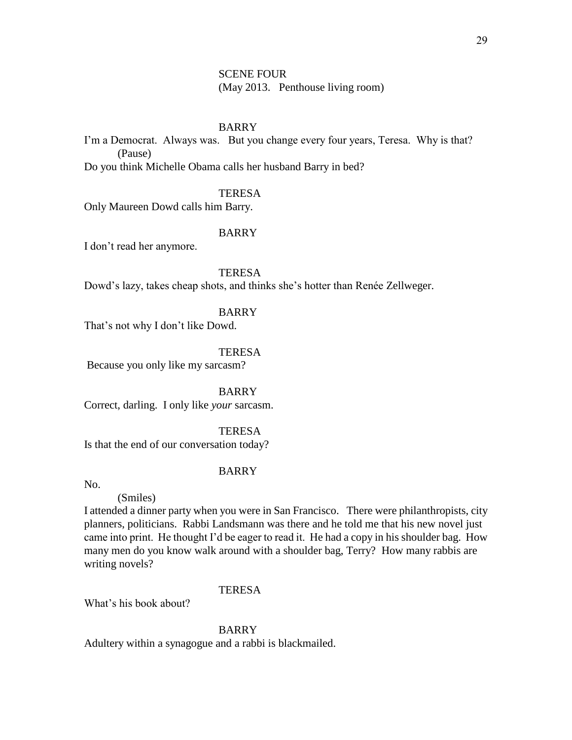# SCENE FOUR (May 2013. Penthouse living room)

# BARRY

I'm a Democrat. Always was. But you change every four years, Teresa. Why is that? (Pause)

Do you think Michelle Obama calls her husband Barry in bed?

## **TERESA**

Only Maureen Dowd calls him Barry.

# BARRY

I don't read her anymore.

# **TERESA**

Dowd's lazy, takes cheap shots, and thinks she's hotter than Renée Zellweger.

#### BARRY

That's not why I don't like Dowd.

### TERESA

Because you only like my sarcasm?

BARRY

Correct, darling. I only like *your* sarcasm.

# **TERESA**

Is that the end of our conversation today?

#### BARRY

No.

### (Smiles)

I attended a dinner party when you were in San Francisco. There were philanthropists, city planners, politicians. Rabbi Landsmann was there and he told me that his new novel just came into print. He thought I'd be eager to read it. He had a copy in his shoulder bag. How many men do you know walk around with a shoulder bag, Terry? How many rabbis are writing novels?

### **TERESA**

What's his book about?

#### BARRY

Adultery within a synagogue and a rabbi is blackmailed.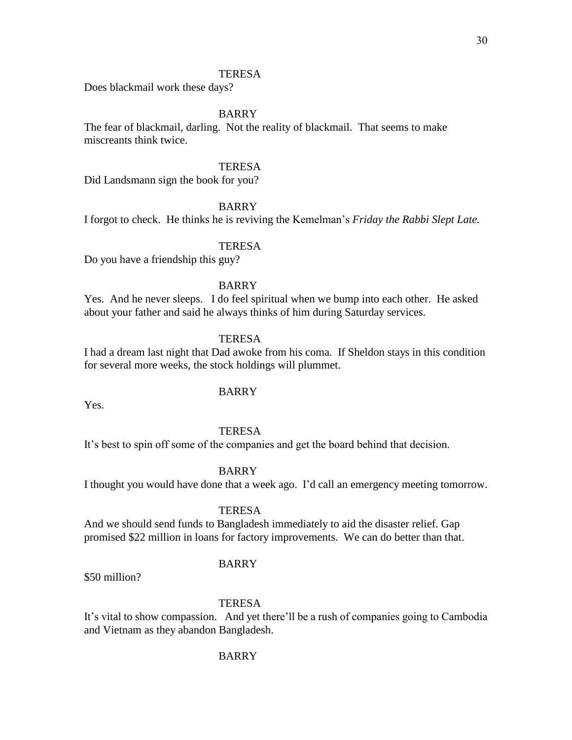Does blackmail work these days?

## BARRY

The fear of blackmail, darling. Not the reality of blackmail. That seems to make miscreants think twice.

# **TERESA**

Did Landsmann sign the book for you?

## BARRY

I forgot to check. He thinks he is reviving the Kemelman's *Friday the Rabbi Slept Late.* 

# TERESA

Do you have a friendship this guy?

# BARRY

Yes. And he never sleeps. I do feel spiritual when we bump into each other. He asked about your father and said he always thinks of him during Saturday services.

# **TERESA**

I had a dream last night that Dad awoke from his coma. If Sheldon stays in this condition for several more weeks, the stock holdings will plummet.

## BARRY

Yes.

#### **TERESA**

It's best to spin off some of the companies and get the board behind that decision.

#### BARRY

I thought you would have done that a week ago. I'd call an emergency meeting tomorrow.

# **TERESA**

And we should send funds to Bangladesh immediately to aid the disaster relief. Gap promised \$22 million in loans for factory improvements. We can do better than that.

## BARRY

\$50 million?

# **TERESA**

It's vital to show compassion. And yet there'll be a rush of companies going to Cambodia and Vietnam as they abandon Bangladesh.

### BARRY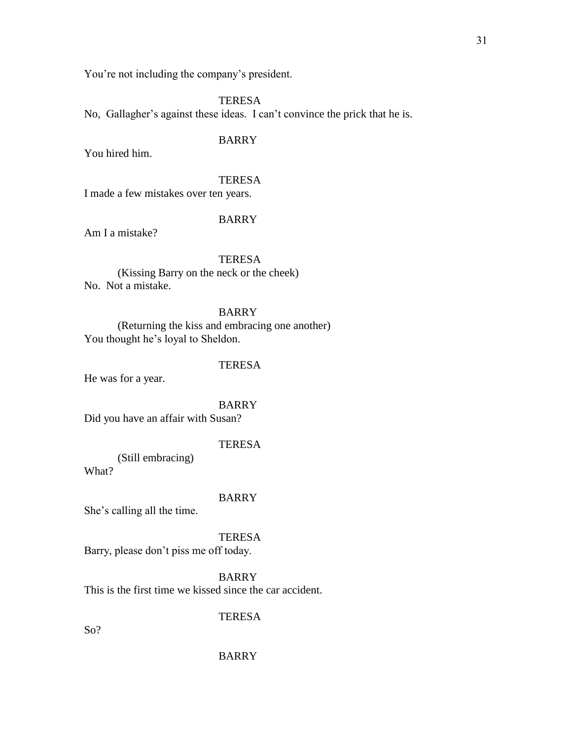You're not including the company's president.

**TERESA** No, Gallagher's against these ideas. I can't convince the prick that he is.

# BARRY

You hired him.

# **TERESA**

I made a few mistakes over ten years.

## BARRY

Am I a mistake?

**TERESA** (Kissing Barry on the neck or the cheek)

No. Not a mistake.

# BARRY

(Returning the kiss and embracing one another) You thought he's loyal to Sheldon.

# **TERESA**

He was for a year.

## BARRY

Did you have an affair with Susan?

## **TERESA**

(Still embracing)

What?

## BARRY

She's calling all the time.

# TERESA

Barry, please don't piss me off today.

BARRY

This is the first time we kissed since the car accident.

# TERESA

So?

## BARRY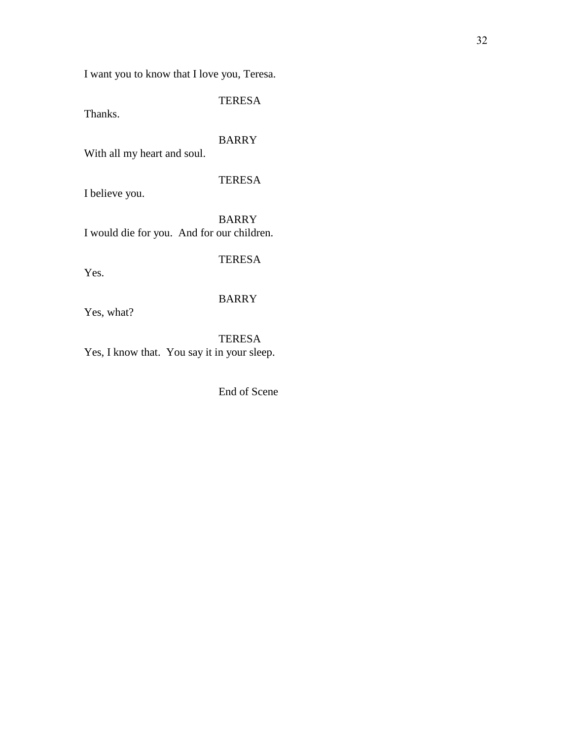I want you to know that I love you, Teresa.

TERESA

Thanks.

BARRY

With all my heart and soul.

TERESA

I believe you.

BARRY I would die for you. And for our children.

TERESA

Yes.

# BARRY

Yes, what?

TERESA Yes, I know that. You say it in your sleep.

End of Scene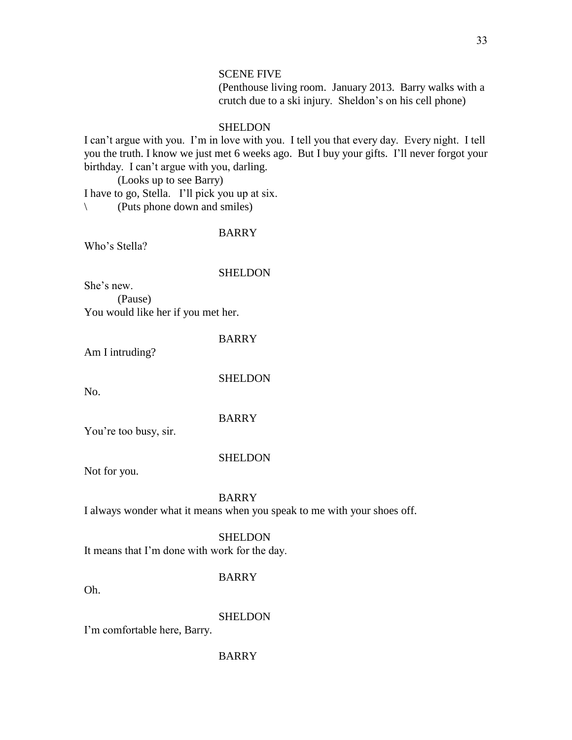# SCENE FIVE

(Penthouse living room. January 2013. Barry walks with a crutch due to a ski injury. Sheldon's on his cell phone)

#### SHELDON

I can't argue with you. I'm in love with you. I tell you that every day. Every night. I tell you the truth. I know we just met 6 weeks ago. But I buy your gifts. I'll never forgot your birthday. I can't argue with you, darling.

(Looks up to see Barry)

I have to go, Stella. I'll pick you up at six.

\ (Puts phone down and smiles)

# BARRY

Who's Stella?

## **SHELDON**

She's new.

(Pause) You would like her if you met her.

BARRY

Am I intruding?

No.

**SHELDON** 

BARRY

You're too busy, sir.

# **SHELDON**

Not for you.

BARRY

I always wonder what it means when you speak to me with your shoes off.

**SHELDON** 

It means that I'm done with work for the day.

## BARRY

Oh.

SHELDON

I'm comfortable here, Barry.

BARRY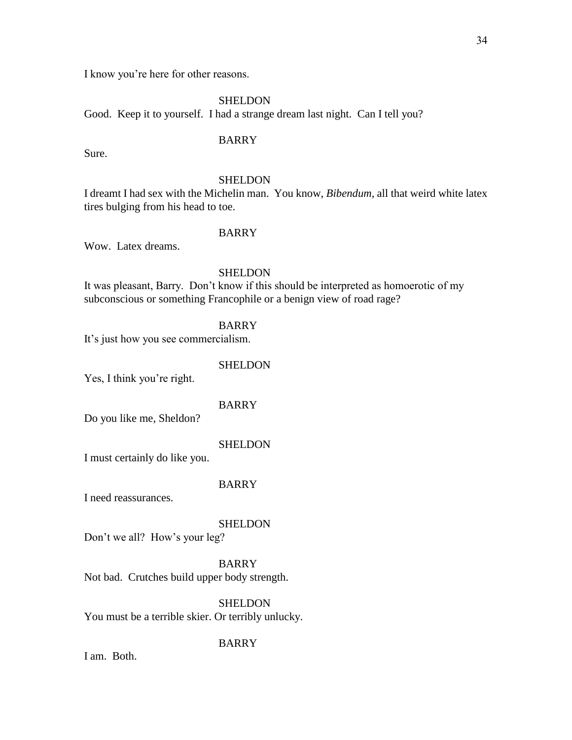I know you're here for other reasons.

SHELDON Good. Keep it to yourself. I had a strange dream last night. Can I tell you?

# BARRY

Sure.

## SHELDON

I dreamt I had sex with the Michelin man. You know, *Bibendum*, all that weird white latex tires bulging from his head to toe.

# BARRY

Wow. Latex dreams.

## SHELDON

It was pleasant, Barry. Don't know if this should be interpreted as homoerotic of my subconscious or something Francophile or a benign view of road rage?

## BARRY

It's just how you see commercialism.

## SHELDON

Yes, I think you're right.

#### BARRY

Do you like me, Sheldon?

#### SHELDON

I must certainly do like you.

## BARRY

I need reassurances.

## **SHELDON**

Don't we all? How's your leg?

## BARRY

Not bad. Crutches build upper body strength.

**SHELDON** You must be a terrible skier. Or terribly unlucky.

# BARRY

I am. Both.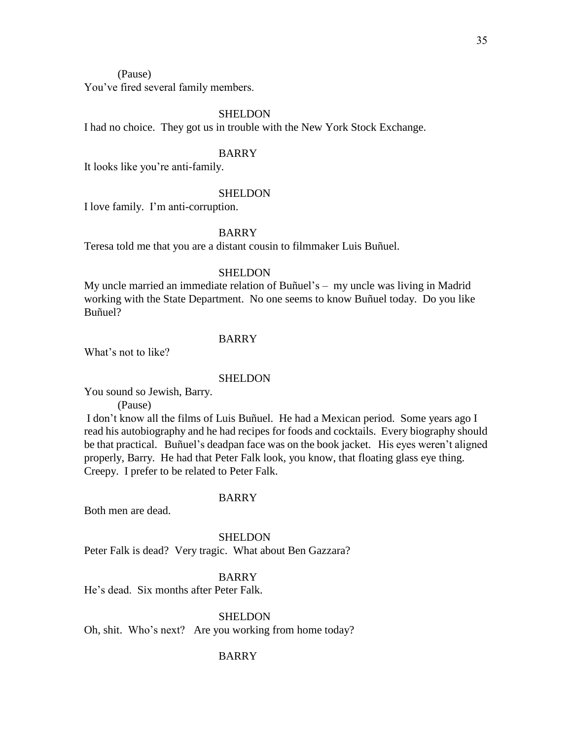(Pause)

You've fired several family members.

## SHELDON

I had no choice. They got us in trouble with the New York Stock Exchange.

## BARRY

It looks like you're anti-family.

#### SHELDON

I love family. I'm anti-corruption.

## BARRY

Teresa told me that you are a distant cousin to filmmaker Luis Buñuel.

## SHELDON

My uncle married an immediate relation of Buñuel's – my uncle was living in Madrid working with the State Department. No one seems to know Buñuel today. Do you like Buñuel?

# BARRY

What's not to like?

#### **SHELDON**

You sound so Jewish, Barry.

(Pause)

I don't know all the films of Luis Buñuel. He had a Mexican period. Some years ago I read his autobiography and he had recipes for foods and cocktails. Every biography should be that practical. Buñuel's deadpan face was on the book jacket. His eyes weren't aligned properly, Barry. He had that Peter Falk look, you know, that floating glass eye thing. Creepy. I prefer to be related to Peter Falk.

#### BARRY

Both men are dead.

SHELDON

Peter Falk is dead? Very tragic. What about Ben Gazzara?

# BARRY

He's dead. Six months after Peter Falk.

SHELDON

Oh, shit. Who's next? Are you working from home today?

#### BARRY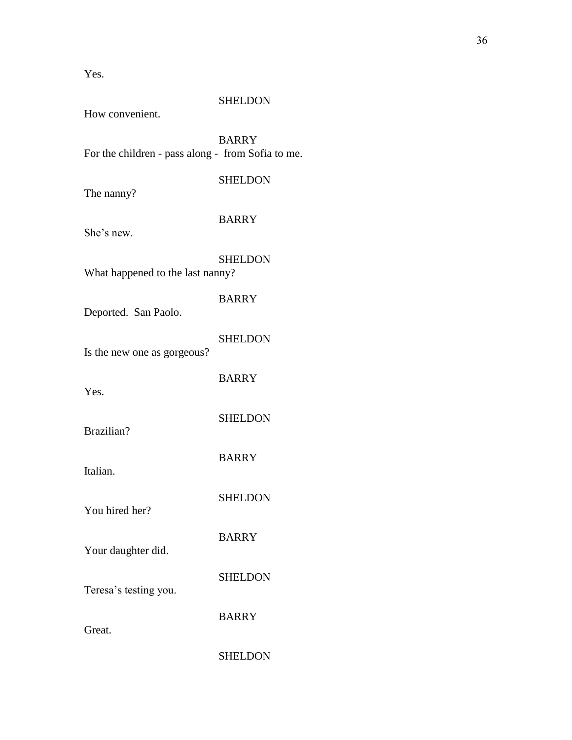Yes.

# SHELDON

How convenient.

BARRY For the children - pass along - from Sofia to me.

SHELDON

The nanny?

# BARRY

She's new.

| What happened to the last nanny? | <b>SHELDON</b> |
|----------------------------------|----------------|
| Deported. San Paolo.             | <b>BARRY</b>   |
| Is the new one as gorgeous?      | <b>SHELDON</b> |
| Yes.                             | <b>BARRY</b>   |
| Brazilian?                       | <b>SHELDON</b> |
| Italian.                         | <b>BARRY</b>   |
| You hired her?                   | <b>SHELDON</b> |
| Your daughter did.               | <b>BARRY</b>   |
| Teresa's testing you.            | SHELDON        |

Great.

SHELDON

BARRY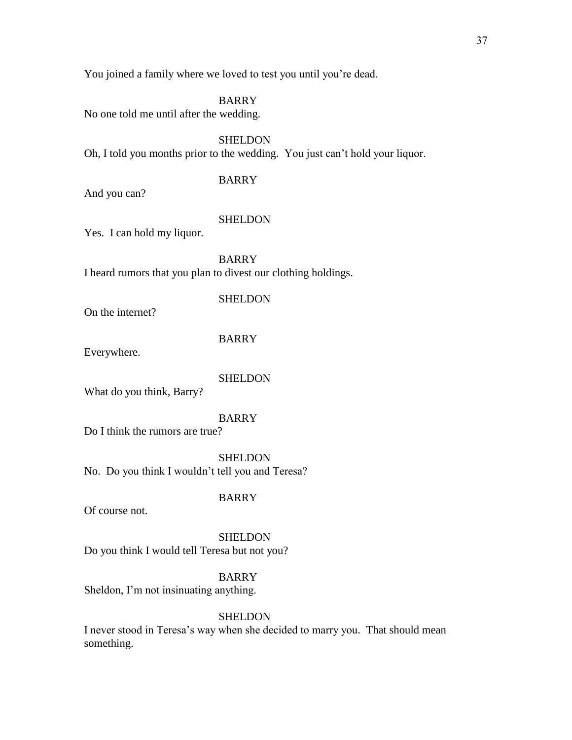**BARRY** 

No one told me until after the wedding.

**SHELDON** Oh, I told you months prior to the wedding. You just can't hold your liquor.

## BARRY

And you can?

#### **SHELDON**

Yes. I can hold my liquor.

BARRY I heard rumors that you plan to divest our clothing holdings.

## **SHELDON**

On the internet?

## BARRY

Everywhere.

#### **SHELDON**

What do you think, Barry?

## BARRY

Do I think the rumors are true?

SHELDON No. Do you think I wouldn't tell you and Teresa?

### BARRY

Of course not.

**SHELDON** 

Do you think I would tell Teresa but not you?

## BARRY

Sheldon, I'm not insinuating anything.

## **SHELDON**

I never stood in Teresa's way when she decided to marry you. That should mean something.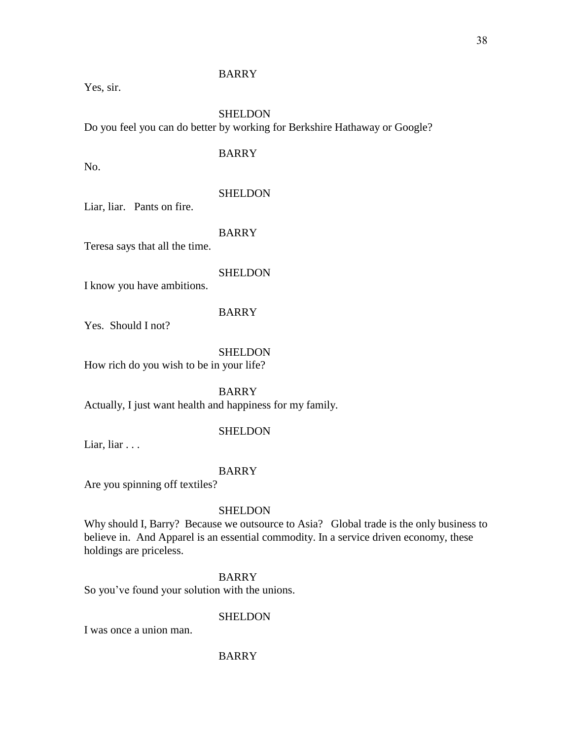## BARRY

Yes, sir.

### SHELDON

Do you feel you can do better by working for Berkshire Hathaway or Google?

### BARRY

No.

### SHELDON

Liar, liar. Pants on fire.

## BARRY

Teresa says that all the time.

### **SHELDON**

I know you have ambitions.

### BARRY

Yes. Should I not?

SHELDON

How rich do you wish to be in your life?

BARRY Actually, I just want health and happiness for my family.

## **SHELDON**

Liar, liar . . .

#### BARRY

Are you spinning off textiles?

#### **SHELDON**

Why should I, Barry? Because we outsource to Asia? Global trade is the only business to believe in. And Apparel is an essential commodity. In a service driven economy, these holdings are priceless.

## BARRY

So you've found your solution with the unions.

#### **SHELDON**

I was once a union man.

### BARRY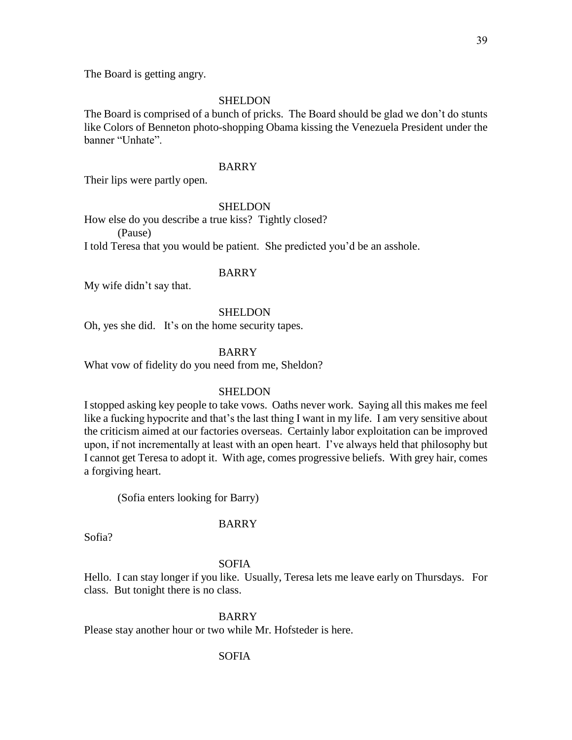39

The Board is getting angry.

## SHELDON

The Board is comprised of a bunch of pricks. The Board should be glad we don't do stunts like Colors of Benneton photo-shopping Obama kissing the Venezuela President under the banner "Unhate".

## BARRY

Their lips were partly open.

## SHELDON

How else do you describe a true kiss? Tightly closed? (Pause)

I told Teresa that you would be patient. She predicted you'd be an asshole.

## BARRY

My wife didn't say that.

## SHELDON

Oh, yes she did. It's on the home security tapes.

## BARRY

What vow of fidelity do you need from me, Sheldon?

## **SHELDON**

I stopped asking key people to take vows. Oaths never work. Saying all this makes me feel like a fucking hypocrite and that's the last thing I want in my life. I am very sensitive about the criticism aimed at our factories overseas. Certainly labor exploitation can be improved upon, if not incrementally at least with an open heart. I've always held that philosophy but I cannot get Teresa to adopt it. With age, comes progressive beliefs. With grey hair, comes a forgiving heart.

(Sofia enters looking for Barry)

## BARRY

Sofia?

## SOFIA

Hello. I can stay longer if you like. Usually, Teresa lets me leave early on Thursdays. For class. But tonight there is no class.

## BARRY

Please stay another hour or two while Mr. Hofsteder is here.

## SOFIA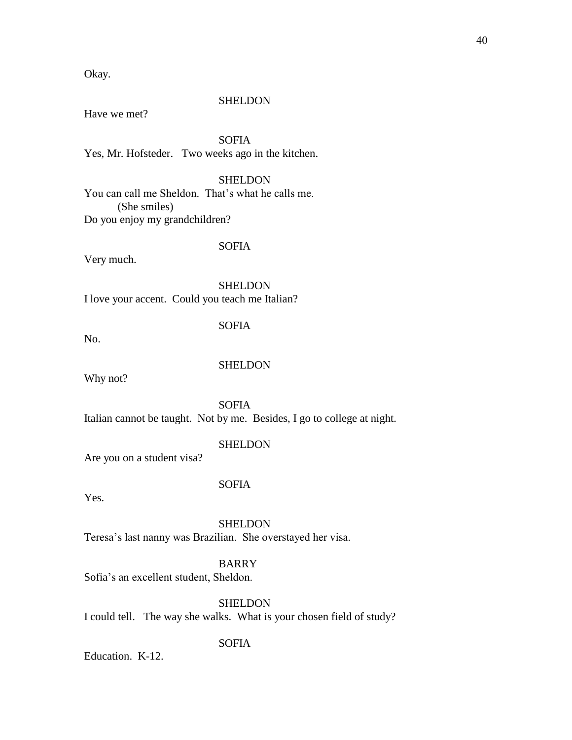Okay.

#### **SHELDON**

Have we met?

SOFIA Yes, Mr. Hofsteder. Two weeks ago in the kitchen.

## **SHELDON**

You can call me Sheldon. That's what he calls me. (She smiles) Do you enjoy my grandchildren?

## SOFIA

Very much.

**SHELDON** I love your accent. Could you teach me Italian?

## SOFIA

No.

#### **SHELDON**

Why not?

SOFIA

Italian cannot be taught. Not by me. Besides, I go to college at night.

## SHELDON

Are you on a student visa?

## SOFIA

Yes.

SHELDON Teresa's last nanny was Brazilian. She overstayed her visa.

### BARRY

Sofia's an excellent student, Sheldon.

**SHELDON** 

I could tell. The way she walks. What is your chosen field of study?

## SOFIA

Education. K-12.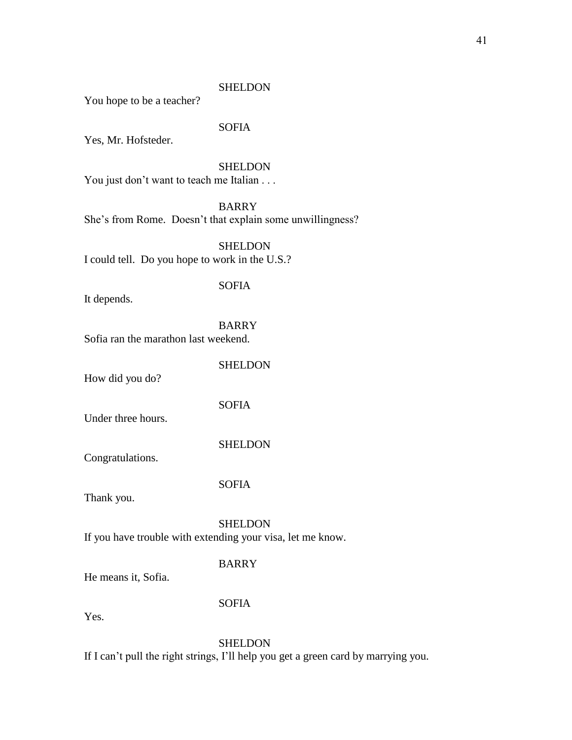### **SHELDON**

You hope to be a teacher?

### SOFIA

Yes, Mr. Hofsteder.

## **SHELDON**

You just don't want to teach me Italian . . .

BARRY

She's from Rome. Doesn't that explain some unwillingness?

SHELDON I could tell. Do you hope to work in the U.S.?

#### SOFIA

It depends.

BARRY Sofia ran the marathon last weekend.

How did you do?

SOFIA

**SHELDON** 

Under three hours.

SHELDON

Congratulations.

SOFIA

Thank you.

**SHELDON** If you have trouble with extending your visa, let me know.

### BARRY

He means it, Sofia.

SOFIA

Yes.

## **SHELDON**

If I can't pull the right strings, I'll help you get a green card by marrying you.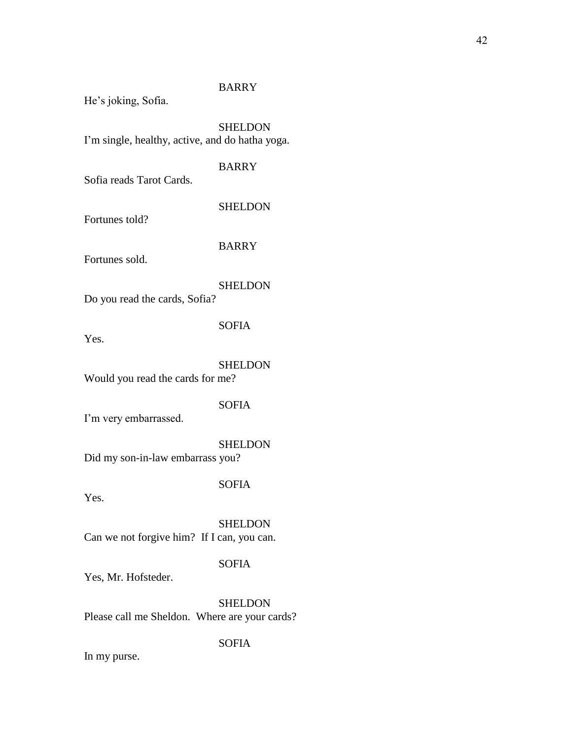## BARRY

He's joking, Sofia.

SHELDON I'm single, healthy, active, and do hatha yoga.

## BARRY

Sofia reads Tarot Cards.

### **SHELDON**

Fortunes told?

BARRY

Fortunes sold.

### **SHELDON**

Do you read the cards, Sofia?

## SOFIA

Yes.

### SHELDON

Would you read the cards for me?

### SOFIA

I'm very embarrassed.

### SHELDON

Did my son-in-law embarrass you?

## SOFIA

Yes.

## SHELDON Can we not forgive him? If I can, you can.

## SOFIA

Yes, Mr. Hofsteder.

## **SHELDON** Please call me Sheldon. Where are your cards?

## SOFIA

In my purse.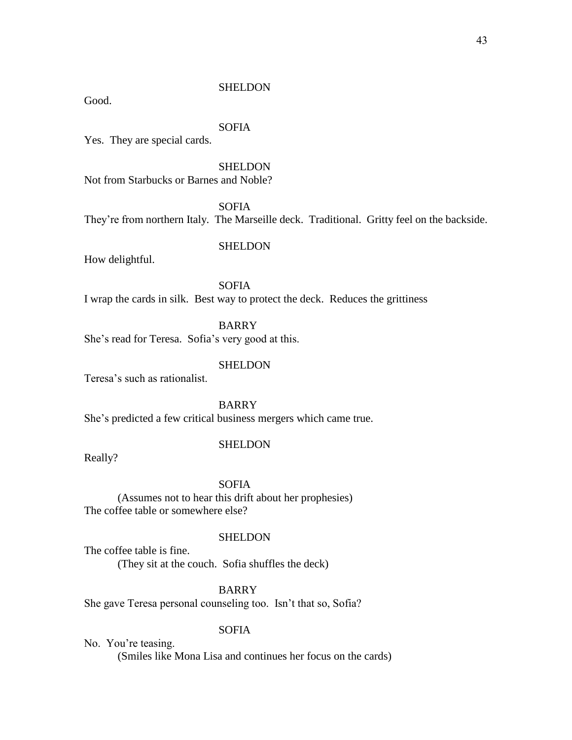## **SHELDON**

Good.

## SOFIA

Yes. They are special cards.

**SHELDON** 

Not from Starbucks or Barnes and Noble?

SOFIA

They're from northern Italy. The Marseille deck. Traditional. Gritty feel on the backside.

## SHELDON

How delightful.

SOFIA I wrap the cards in silk. Best way to protect the deck. Reduces the grittiness

BARRY She's read for Teresa. Sofia's very good at this.

## SHELDON

Teresa's such as rationalist.

BARRY

She's predicted a few critical business mergers which came true.

## SHELDON

Really?

### SOFIA

(Assumes not to hear this drift about her prophesies) The coffee table or somewhere else?

### **SHELDON**

The coffee table is fine. (They sit at the couch. Sofia shuffles the deck)

## BARRY

She gave Teresa personal counseling too. Isn't that so, Sofia?

### SOFIA

No. You're teasing. (Smiles like Mona Lisa and continues her focus on the cards)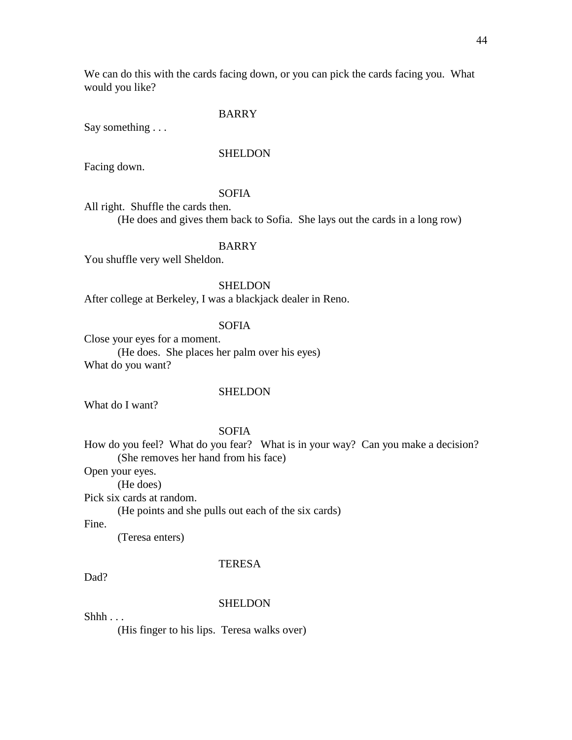We can do this with the cards facing down, or you can pick the cards facing you. What would you like?

## BARRY

Say something . . .

### **SHELDON**

Facing down.

#### SOFIA

All right. Shuffle the cards then.

(He does and gives them back to Sofia. She lays out the cards in a long row)

#### BARRY

You shuffle very well Sheldon.

## **SHELDON**

After college at Berkeley, I was a blackjack dealer in Reno.

## SOFIA

Close your eyes for a moment. (He does. She places her palm over his eyes) What do you want?

### SHELDON

What do I want?

#### SOFIA

How do you feel? What do you fear? What is in your way? Can you make a decision? (She removes her hand from his face)

Open your eyes.

(He does)

Pick six cards at random.

(He points and she pulls out each of the six cards)

Fine.

(Teresa enters)

#### TERESA

Dad?

#### **SHELDON**

 $Shhh...$ 

(His finger to his lips. Teresa walks over)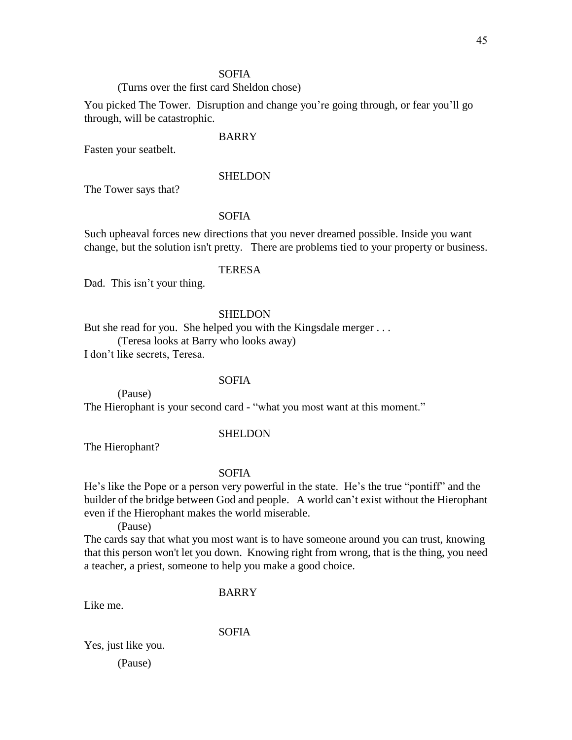### SOFIA

## (Turns over the first card Sheldon chose)

You picked The Tower. Disruption and change you're going through, or fear you'll go through, will be catastrophic.

### BARRY

Fasten your seatbelt.

#### SHELDON

The Tower says that?

## SOFIA

Such upheaval forces new directions that you never dreamed possible. Inside you want change, but the solution isn't pretty. There are problems tied to your property or business.

### **TERESA**

Dad. This isn't your thing.

### **SHELDON**

But she read for you. She helped you with the Kingsdale merger ...

(Teresa looks at Barry who looks away)

I don't like secrets, Teresa.

### SOFIA

(Pause) The Hierophant is your second card - "what you most want at this moment."

#### SHELDON

The Hierophant?

#### SOFIA

He's like the Pope or a person very powerful in the state. He's the true "pontiff" and the builder of the bridge between God and people. A world can't exist without the Hierophant even if the Hierophant makes the world miserable.

(Pause)

The cards say that what you most want is to have someone around you can trust, knowing that this person won't let you down. Knowing right from wrong, that is the thing, you need a teacher, a priest, someone to help you make a good choice.

#### BARRY

Like me.

SOFIA

Yes, just like you.

(Pause)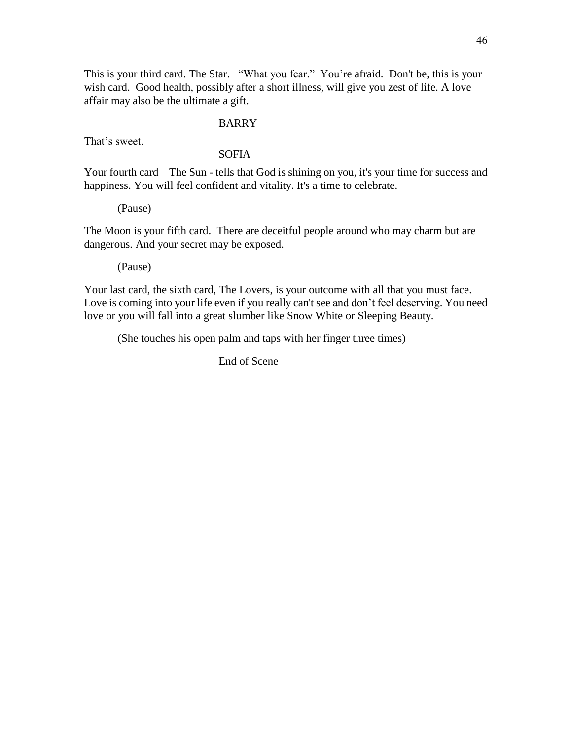This is your third card. The Star. "What you fear." You're afraid. Don't be, this is your wish card. Good health, possibly after a short illness, will give you zest of life. A love affair may also be the ultimate a gift.

### BARRY

That's sweet.

## SOFIA

Your fourth card – The Sun - tells that God is shining on you, it's your time for success and happiness. You will feel confident and vitality. It's a time to celebrate.

(Pause)

The Moon is your fifth card. There are deceitful people around who may charm but are dangerous. And your secret may be exposed.

(Pause)

Your last card, the sixth card, The Lovers, is your outcome with all that you must face. Love is coming into your life even if you really can't see and don't feel deserving. You need love or you will fall into a great slumber like Snow White or Sleeping Beauty.

(She touches his open palm and taps with her finger three times)

End of Scene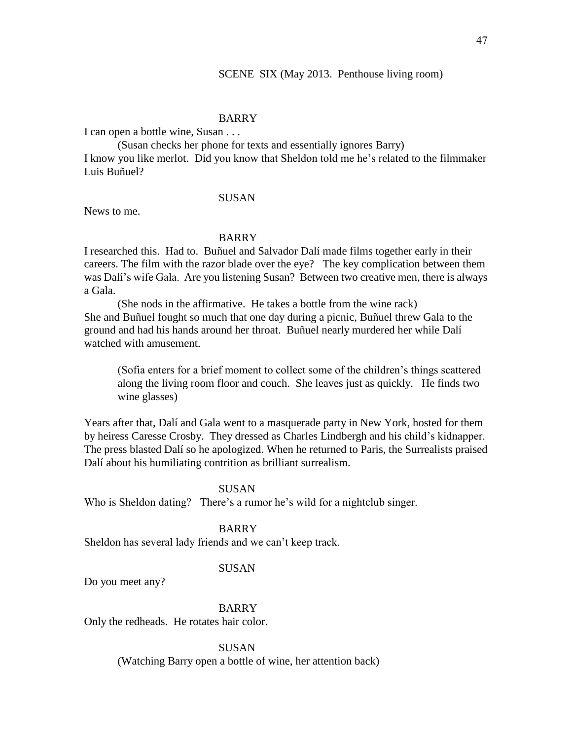#### SCENE SIX (May 2013. Penthouse living room)

### BARRY

I can open a bottle wine, Susan . . .

(Susan checks her phone for texts and essentially ignores Barry) I know you like merlot. Did you know that Sheldon told me he's related to the filmmaker Luis Buñuel?

### SUSAN

News to me.

### BARRY

I researched this. Had to. Buñuel and Salvador Dalí made films together early in their careers. The film with the razor blade over the eye? The key complication between them was Dalí's wife Gala. Are you listening Susan? Between two creative men, there is always a Gala.

(She nods in the affirmative. He takes a bottle from the wine rack) She and Buñuel fought so much that one day during a picnic, Buñuel threw Gala to the ground and had his hands around her throat. Buñuel nearly murdered her while Dalí watched with amusement.

(Sofia enters for a brief moment to collect some of the children's things scattered along the living room floor and couch. She leaves just as quickly. He finds two wine glasses)

Years after that, Dalí and Gala went to a masquerade party in New York, hosted for them by heiress Caresse Crosby. They dressed as Charles Lindbergh and his child's kidnapper. The press blasted Dalí so he apologized. When he returned to Paris, the Surrealists praised Dalí about his humiliating contrition as brilliant surrealism.

#### SUSAN

Who is Sheldon dating? There's a rumor he's wild for a nightclub singer.

#### BARRY

Sheldon has several lady friends and we can't keep track.

## SUSAN

Do you meet any?

### BARRY

Only the redheads. He rotates hair color.

SUSAN

(Watching Barry open a bottle of wine, her attention back)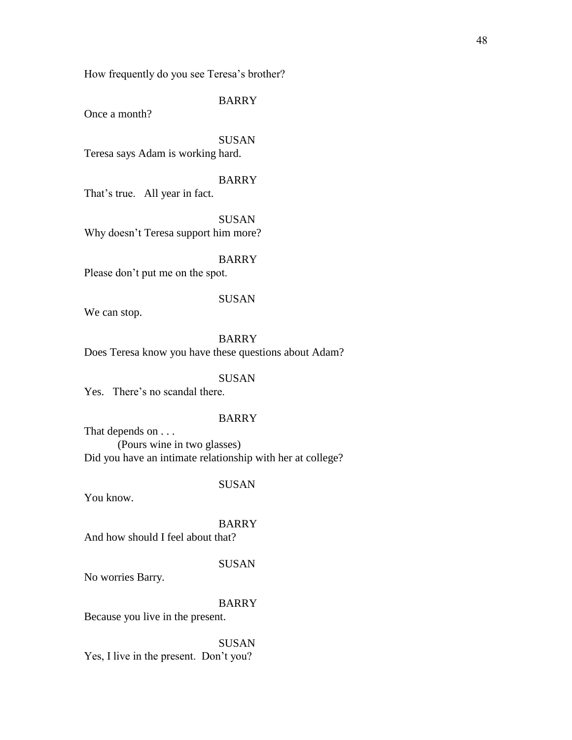How frequently do you see Teresa's brother?

### BARRY

Once a month?

SUSAN Teresa says Adam is working hard.

## BARRY

That's true. All year in fact.

**SUSAN** Why doesn't Teresa support him more?

#### BARRY

Please don't put me on the spot.

### SUSAN

We can stop.

## BARRY

Does Teresa know you have these questions about Adam?

### SUSAN

Yes. There's no scandal there.

## BARRY

That depends on . . . (Pours wine in two glasses) Did you have an intimate relationship with her at college?

### SUSAN

You know.

### BARRY And how should I feel about that?

#### SUSAN

No worries Barry.

## BARRY

Because you live in the present.

SUSAN Yes, I live in the present. Don't you?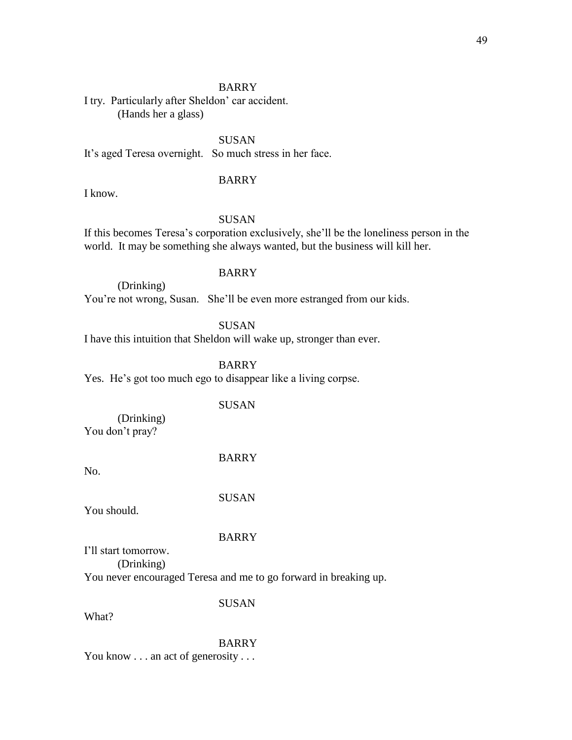### BARRY

I try. Particularly after Sheldon' car accident. (Hands her a glass)

SUSAN It's aged Teresa overnight. So much stress in her face.

## BARRY

I know.

## SUSAN

If this becomes Teresa's corporation exclusively, she'll be the loneliness person in the world. It may be something she always wanted, but the business will kill her.

## BARRY

(Drinking) You're not wrong, Susan. She'll be even more estranged from our kids.

**SUSAN** 

I have this intuition that Sheldon will wake up, stronger than ever.

BARRY

Yes. He's got too much ego to disappear like a living corpse.

#### SUSAN

(Drinking) You don't pray?

BARRY

No.

SUSAN

You should.

## BARRY

I'll start tomorrow. (Drinking)

You never encouraged Teresa and me to go forward in breaking up.

SUSAN

What?

BARRY

You know . . . an act of generosity . . .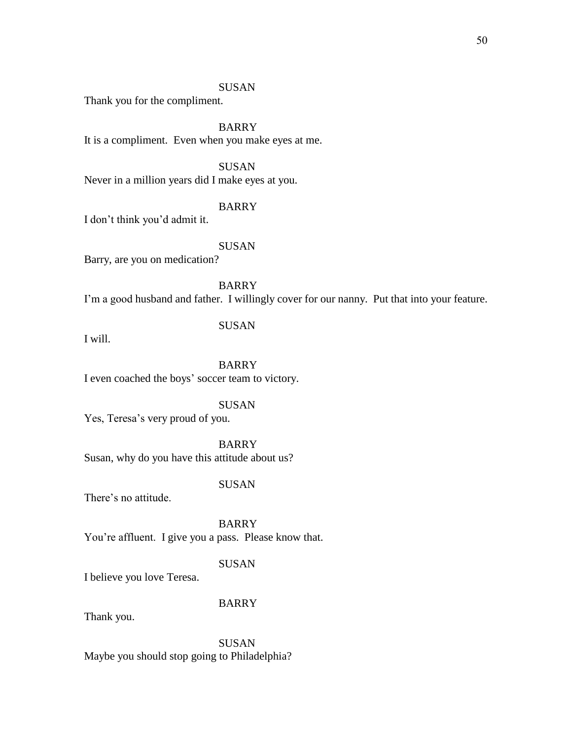## SUSAN

Thank you for the compliment.

BARRY It is a compliment. Even when you make eyes at me.

SUSAN Never in a million years did I make eyes at you.

## BARRY

I don't think you'd admit it.

SUSAN

Barry, are you on medication?

BARRY I'm a good husband and father. I willingly cover for our nanny. Put that into your feature.

I will.

### SUSAN

BARRY I even coached the boys' soccer team to victory.

#### SUSAN

Yes, Teresa's very proud of you.

BARRY

Susan, why do you have this attitude about us?

### SUSAN

There's no attitude.

BARRY You're affluent. I give you a pass. Please know that.

## SUSAN

I believe you love Teresa.

## BARRY

Thank you.

SUSAN Maybe you should stop going to Philadelphia?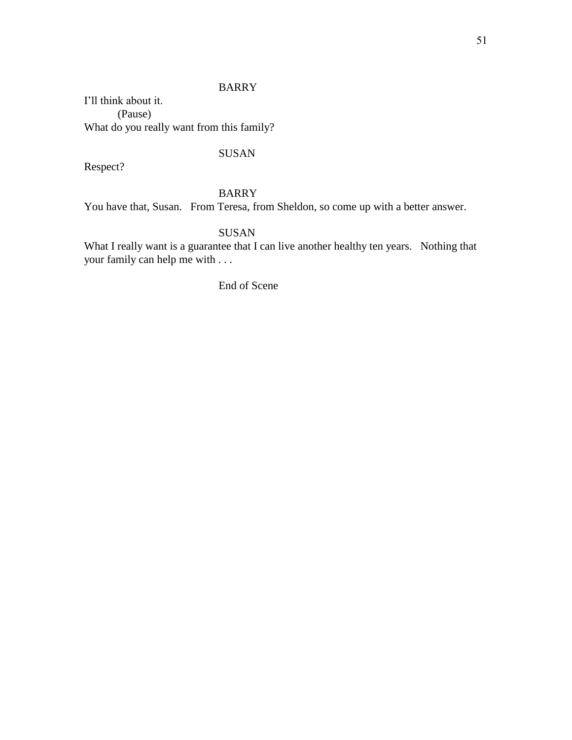## BARRY

I'll think about it. (Pause) What do you really want from this family?

## SUSAN

Respect?

## BARRY

You have that, Susan. From Teresa, from Sheldon, so come up with a better answer.

## SUSAN

What I really want is a guarantee that I can live another healthy ten years. Nothing that your family can help me with . . .

End of Scene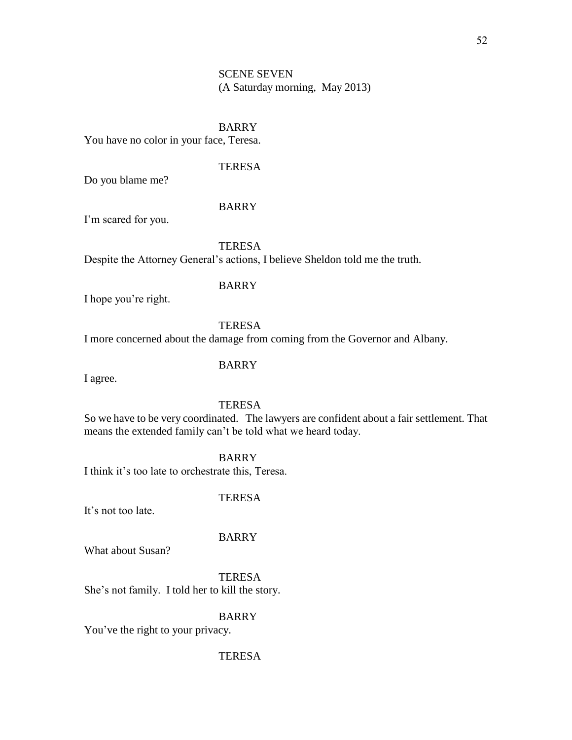## SCENE SEVEN (A Saturday morning, May 2013)

### BARRY

You have no color in your face, Teresa.

## **TERESA**

Do you blame me?

## BARRY

I'm scared for you.

**TERESA** 

Despite the Attorney General's actions, I believe Sheldon told me the truth.

### BARRY

I hope you're right.

## **TERESA**

I more concerned about the damage from coming from the Governor and Albany.

## BARRY

I agree.

## **TERESA**

So we have to be very coordinated. The lawyers are confident about a fair settlement. That means the extended family can't be told what we heard today.

BARRY

I think it's too late to orchestrate this, Teresa.

### **TERESA**

It's not too late.

## BARRY

What about Susan?

TERESA She's not family. I told her to kill the story.

## BARRY

You've the right to your privacy.

### TERESA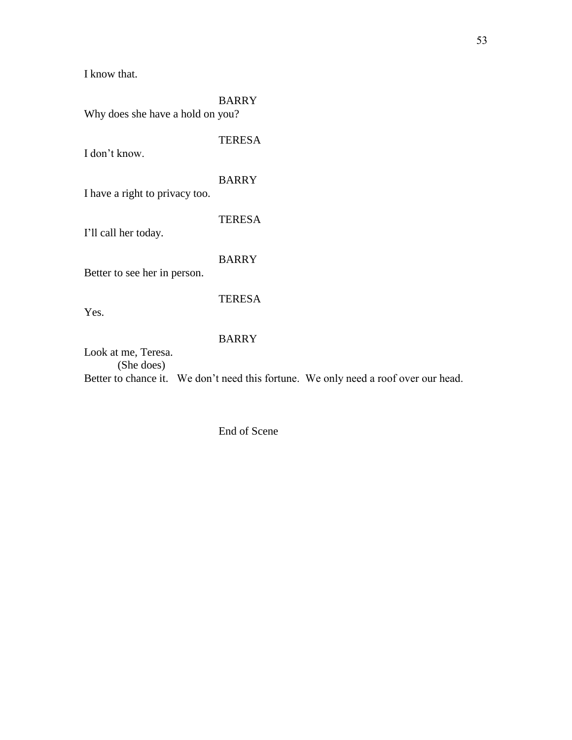I know that.

| <b>BARRY</b><br>Why does she have a hold on you? |                                                                                     |  |
|--------------------------------------------------|-------------------------------------------------------------------------------------|--|
| I don't know.                                    | <b>TERESA</b>                                                                       |  |
| I have a right to privacy too.                   | <b>BARRY</b>                                                                        |  |
| I'll call her today.                             | <b>TERESA</b>                                                                       |  |
| Better to see her in person.                     | <b>BARRY</b>                                                                        |  |
| Yes.                                             | <b>TERESA</b>                                                                       |  |
| Look at me, Teresa.                              | <b>BARRY</b>                                                                        |  |
| (She does)                                       | Better to chance it. We don't need this fortune. We only need a roof over our head. |  |
|                                                  |                                                                                     |  |

End of Scene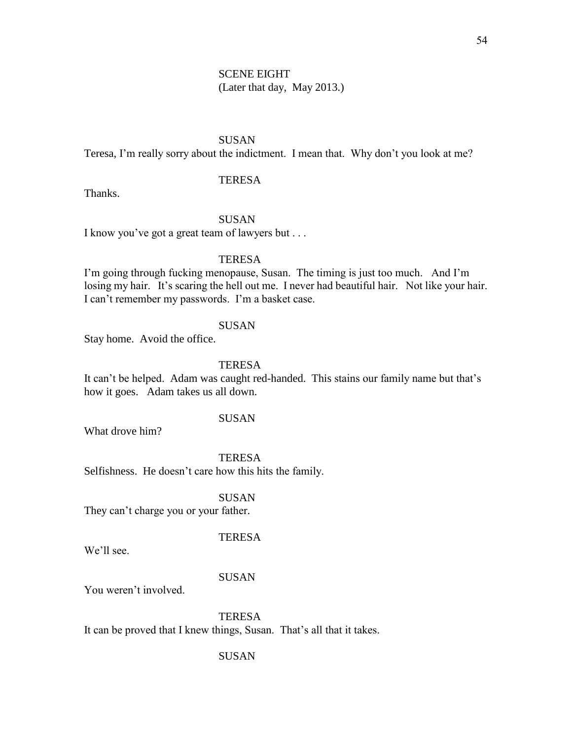## SCENE EIGHT (Later that day, May 2013.)

## SUSAN

Teresa, I'm really sorry about the indictment. I mean that. Why don't you look at me?

## **TERESA**

Thanks.

## SUSAN

I know you've got a great team of lawyers but . . .

## **TERESA**

I'm going through fucking menopause, Susan. The timing is just too much. And I'm losing my hair. It's scaring the hell out me. I never had beautiful hair. Not like your hair. I can't remember my passwords. I'm a basket case.

### **SUSAN**

Stay home. Avoid the office.

## **TERESA**

It can't be helped. Adam was caught red-handed. This stains our family name but that's how it goes. Adam takes us all down.

## SUSAN

What drove him?

### **TERESA**

Selfishness. He doesn't care how this hits the family.

#### SUSAN

They can't charge you or your father.

## TERESA

We'll see.

### SUSAN

You weren't involved.

**TERESA** It can be proved that I knew things, Susan. That's all that it takes.

#### SUSAN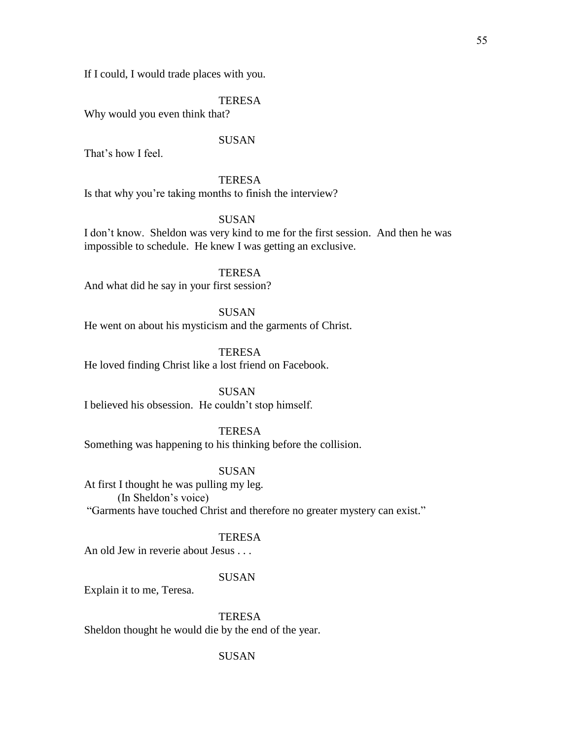If I could, I would trade places with you.

### TERESA

Why would you even think that?

## SUSAN

That's how I feel.

## **TERESA**

Is that why you're taking months to finish the interview?

## **SUSAN**

I don't know. Sheldon was very kind to me for the first session. And then he was impossible to schedule. He knew I was getting an exclusive.

## TERESA

And what did he say in your first session?

SUSAN He went on about his mysticism and the garments of Christ.

TERESA He loved finding Christ like a lost friend on Facebook.

SUSAN I believed his obsession. He couldn't stop himself.

## **TERESA**

Something was happening to his thinking before the collision.

## SUSAN

At first I thought he was pulling my leg. (In Sheldon's voice) "Garments have touched Christ and therefore no greater mystery can exist."

### **TERESA**

An old Jew in reverie about Jesus . . .

### SUSAN

Explain it to me, Teresa.

**TERESA** Sheldon thought he would die by the end of the year.

### SUSAN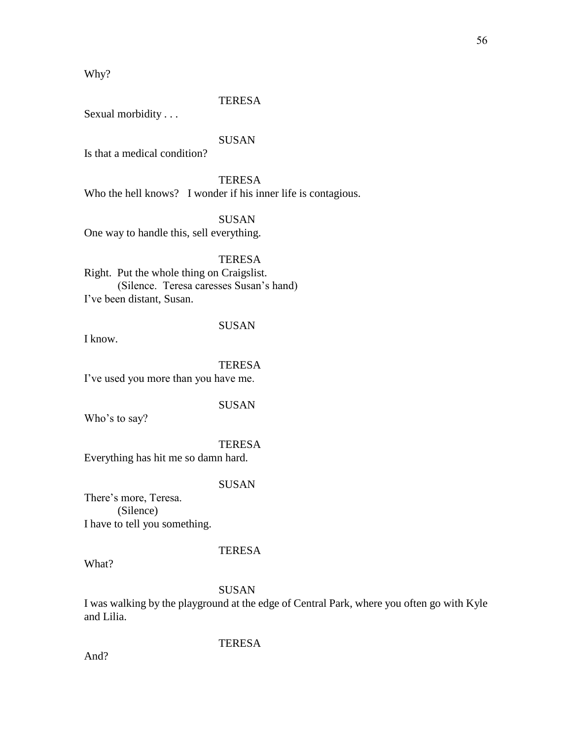Why?

#### TERESA

Sexual morbidity . . .

## SUSAN

Is that a medical condition?

**TERESA** Who the hell knows? I wonder if his inner life is contagious.

**SUSAN** 

One way to handle this, sell everything.

**TERESA** 

Right. Put the whole thing on Craigslist. (Silence. Teresa caresses Susan's hand) I've been distant, Susan.

## SUSAN

I know.

### TERESA

I've used you more than you have me.

SUSAN

Who's to say?

TERESA

Everything has hit me so damn hard.

## SUSAN

There's more, Teresa. (Silence) I have to tell you something.

What?

## SUSAN

**TERESA** 

I was walking by the playground at the edge of Central Park, where you often go with Kyle and Lilia.

## TERESA

And?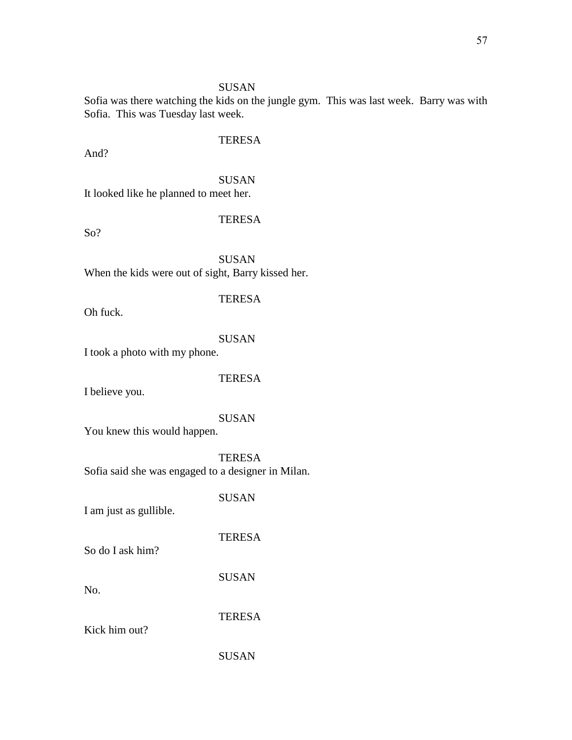## SUSAN

Sofia was there watching the kids on the jungle gym. This was last week. Barry was with Sofia. This was Tuesday last week.

And?

## **TERESA**

SUSAN It looked like he planned to meet her.

## **TERESA**

So?

SUSAN When the kids were out of sight, Barry kissed her.

Oh fuck.

## SUSAN

**TERESA** 

I took a photo with my phone.

## TERESA

I believe you.

## SUSAN

You knew this would happen.

TERESA Sofia said she was engaged to a designer in Milan.

SUSAN

I am just as gullible.

So do I ask him?

SUSAN

TERESA

TERESA

No.

Kick him out?

SUSAN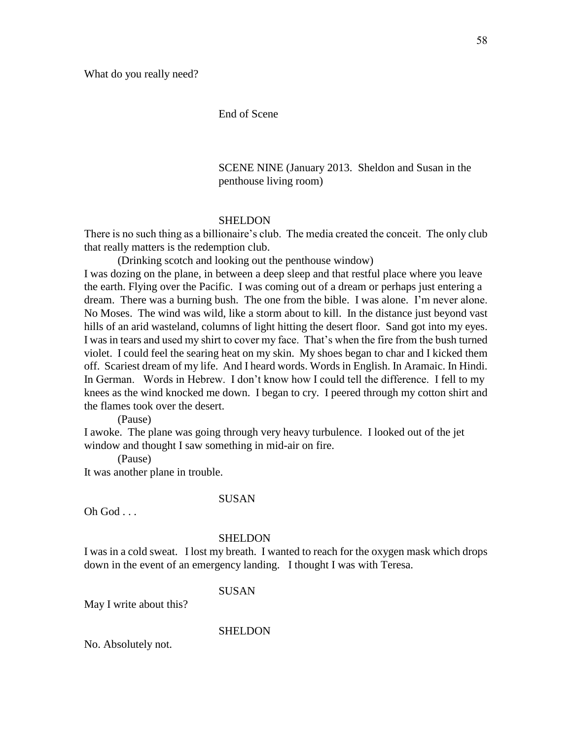## End of Scene

SCENE NINE (January 2013. Sheldon and Susan in the penthouse living room)

#### **SHELDON**

There is no such thing as a billionaire's club. The media created the conceit. The only club that really matters is the redemption club.

(Drinking scotch and looking out the penthouse window) I was dozing on the plane, in between a deep sleep and that restful place where you leave the earth. Flying over the Pacific. I was coming out of a dream or perhaps just entering a dream. There was a burning bush. The one from the bible. I was alone. I'm never alone. No Moses. The wind was wild, like a storm about to kill. In the distance just beyond vast hills of an arid wasteland, columns of light hitting the desert floor. Sand got into my eyes. I was in tears and used my shirt to cover my face. That's when the fire from the bush turned violet. I could feel the searing heat on my skin. My shoes began to char and I kicked them off. Scariest dream of my life. And I heard words. Words in English. In Aramaic. In Hindi. In German. Words in Hebrew. I don't know how I could tell the difference. I fell to my knees as the wind knocked me down. I began to cry. I peered through my cotton shirt and the flames took over the desert.

(Pause)

I awoke. The plane was going through very heavy turbulence. I looked out of the jet window and thought I saw something in mid-air on fire.

(Pause)

It was another plane in trouble.

#### SUSAN

Oh God . . .

#### SHELDON

I was in a cold sweat. I lost my breath. I wanted to reach for the oxygen mask which drops down in the event of an emergency landing. I thought I was with Teresa.

SUSAN

May I write about this?

SHELDON

No. Absolutely not.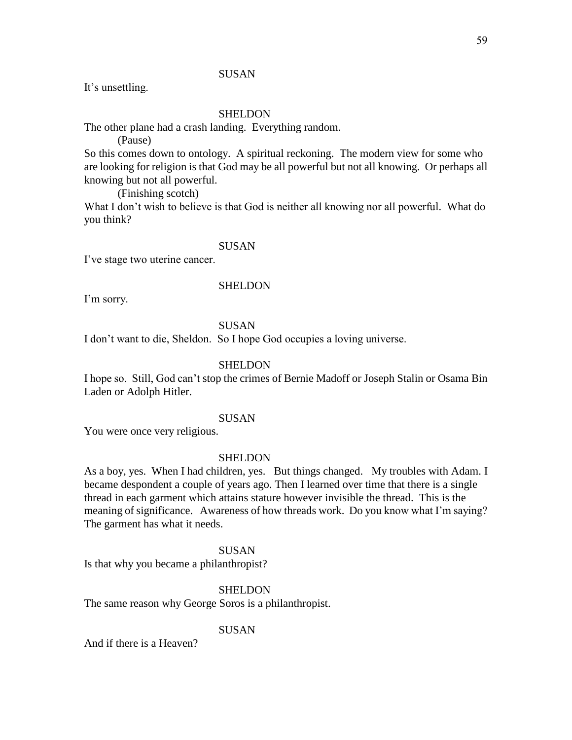## **SUSAN**

It's unsettling.

### SHELDON

The other plane had a crash landing. Everything random.

(Pause)

So this comes down to ontology. A spiritual reckoning. The modern view for some who are looking for religion is that God may be all powerful but not all knowing. Or perhaps all knowing but not all powerful.

(Finishing scotch)

What I don't wish to believe is that God is neither all knowing nor all powerful. What do you think?

## SUSAN

I've stage two uterine cancer.

#### SHELDON

I'm sorry.

## **SUSAN**

I don't want to die, Sheldon. So I hope God occupies a loving universe.

### **SHELDON**

I hope so. Still, God can't stop the crimes of Bernie Madoff or Joseph Stalin or Osama Bin Laden or Adolph Hitler.

### SUSAN

You were once very religious.

### SHELDON

As a boy, yes. When I had children, yes. But things changed. My troubles with Adam. I became despondent a couple of years ago. Then I learned over time that there is a single thread in each garment which attains stature however invisible the thread. This is the meaning of significance. Awareness of how threads work. Do you know what I'm saying? The garment has what it needs.

### **SUSAN**

Is that why you became a philanthropist?

#### SHELDON

The same reason why George Soros is a philanthropist.

### **SUSAN**

And if there is a Heaven?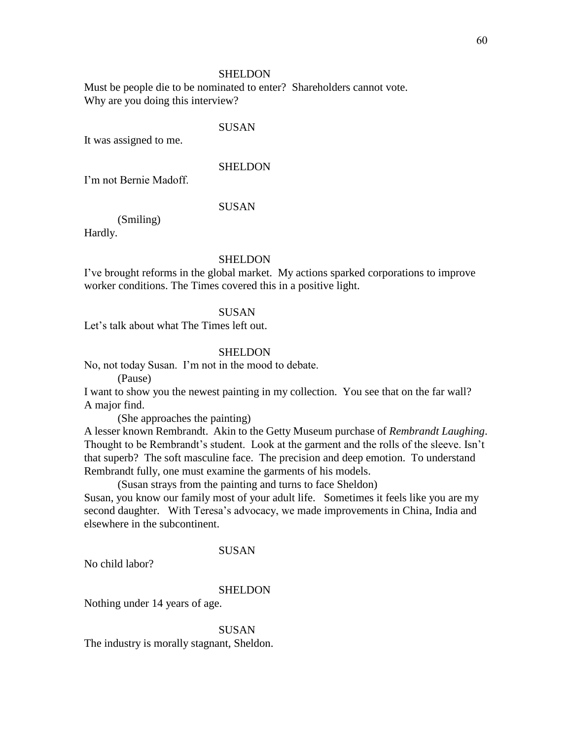#### SHELDON

Must be people die to be nominated to enter? Shareholders cannot vote. Why are you doing this interview?

### SUSAN

It was assigned to me.

### **SHELDON**

I'm not Bernie Madoff.

## SUSAN

(Smiling)

Hardly.

### SHELDON

I've brought reforms in the global market. My actions sparked corporations to improve worker conditions. The Times covered this in a positive light.

### SUSAN

Let's talk about what The Times left out.

### SHELDON

No, not today Susan. I'm not in the mood to debate.

(Pause)

I want to show you the newest painting in my collection. You see that on the far wall? A major find.

(She approaches the painting)

A lesser known Rembrandt. Akin to the Getty Museum purchase of *Rembrandt Laughing*. Thought to be Rembrandt's student. Look at the garment and the rolls of the sleeve. Isn't that superb? The soft masculine face. The precision and deep emotion. To understand Rembrandt fully, one must examine the garments of his models.

(Susan strays from the painting and turns to face Sheldon)

Susan, you know our family most of your adult life. Sometimes it feels like you are my second daughter. With Teresa's advocacy, we made improvements in China, India and elsewhere in the subcontinent.

#### SUSAN

No child labor?

#### **SHELDON**

Nothing under 14 years of age.

**SUSAN** The industry is morally stagnant, Sheldon.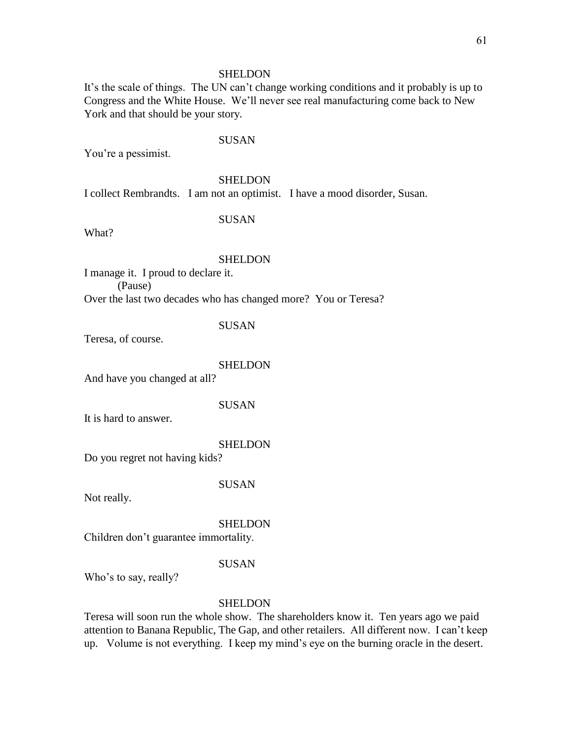#### SHELDON

It's the scale of things. The UN can't change working conditions and it probably is up to Congress and the White House. We'll never see real manufacturing come back to New York and that should be your story.

### SUSAN

You're a pessimist.

### SHELDON

I collect Rembrandts. I am not an optimist. I have a mood disorder, Susan.

#### SUSAN

What?

#### SHELDON

I manage it. I proud to declare it. (Pause) Over the last two decades who has changed more? You or Teresa?

### **SUSAN**

Teresa, of course.

#### **SHELDON**

And have you changed at all?

#### SUSAN

It is hard to answer.

#### SHELDON

Do you regret not having kids?

### SUSAN

Not really.

SHELDON

Children don't guarantee immortality.

#### SUSAN

Who's to say, really?

### **SHELDON**

Teresa will soon run the whole show. The shareholders know it. Ten years ago we paid attention to Banana Republic, The Gap, and other retailers. All different now. I can't keep up. Volume is not everything. I keep my mind's eye on the burning oracle in the desert.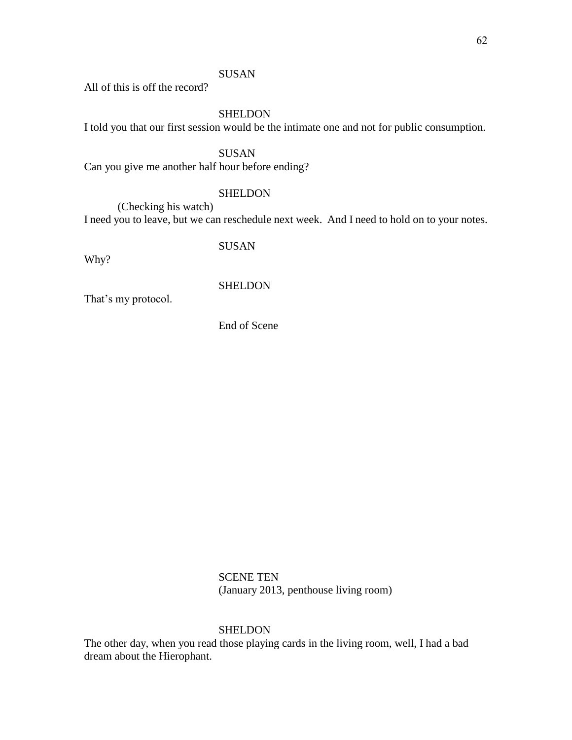## **SUSAN**

All of this is off the record?

## SHELDON

I told you that our first session would be the intimate one and not for public consumption.

## SUSAN

Can you give me another half hour before ending?

## **SHELDON**

(Checking his watch) I need you to leave, but we can reschedule next week. And I need to hold on to your notes.

SUSAN

Why?

## SHELDON

That's my protocol.

End of Scene

SCENE TEN (January 2013, penthouse living room)

## **SHELDON**

The other day, when you read those playing cards in the living room, well, I had a bad dream about the Hierophant.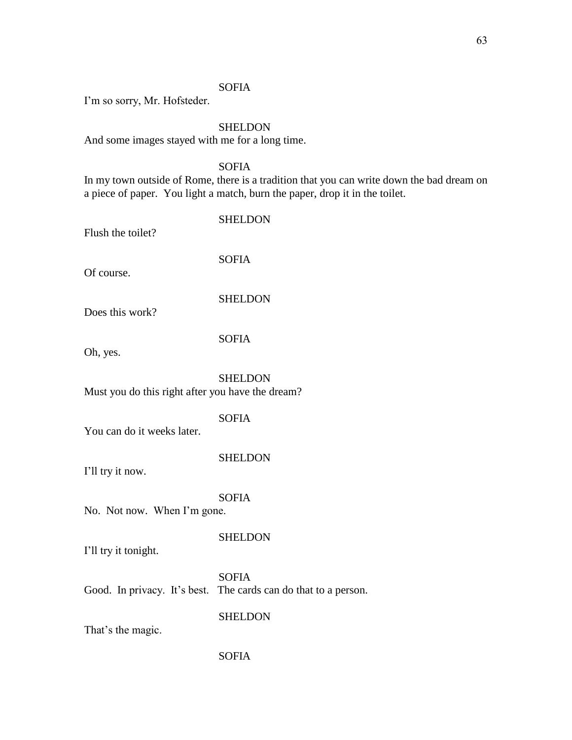## SOFIA

I'm so sorry, Mr. Hofsteder.

### SHELDON

And some images stayed with me for a long time.

## SOFIA

In my town outside of Rome, there is a tradition that you can write down the bad dream on a piece of paper. You light a match, burn the paper, drop it in the toilet.

| Flush the toilet?                                | <b>SHELDON</b> |
|--------------------------------------------------|----------------|
| Of course.                                       | <b>SOFIA</b>   |
| Does this work?                                  | <b>SHELDON</b> |
| Oh, yes.                                         | <b>SOFIA</b>   |
| Must you do this right after you have the dream? | <b>SHELDON</b> |
| You can do it weeks later.                       | <b>SOFIA</b>   |
| I'll try it now.                                 | <b>SHELDON</b> |
| No. Not now. When I'm gone.                      | <b>SOFIA</b>   |
| I'll try it tonight.                             | <b>SHELDON</b> |
|                                                  | <b>SOFIA</b>   |

Good. In privacy. It's best. The cards can do that to a person.

**SHELDON** 

That's the magic.

### SOFIA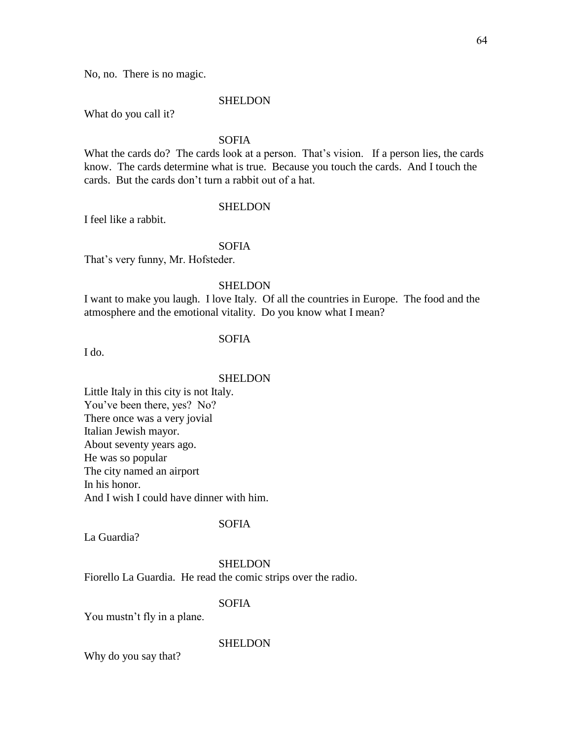No, no. There is no magic.

#### SHELDON

What do you call it?

## SOFIA

What the cards do? The cards look at a person. That's vision. If a person lies, the cards know. The cards determine what is true. Because you touch the cards. And I touch the cards. But the cards don't turn a rabbit out of a hat.

## **SHELDON**

I feel like a rabbit.

## SOFIA

That's very funny, Mr. Hofsteder.

### SHELDON

I want to make you laugh. I love Italy. Of all the countries in Europe. The food and the atmosphere and the emotional vitality. Do you know what I mean?

## SOFIA

I do.

#### **SHELDON**

Little Italy in this city is not Italy. You've been there, yes? No? There once was a very jovial Italian Jewish mayor. About seventy years ago. He was so popular The city named an airport In his honor. And I wish I could have dinner with him.

## SOFIA

La Guardia?

### **SHELDON**

Fiorello La Guardia. He read the comic strips over the radio.

### SOFIA

You mustn't fly in a plane.

### **SHELDON**

Why do you say that?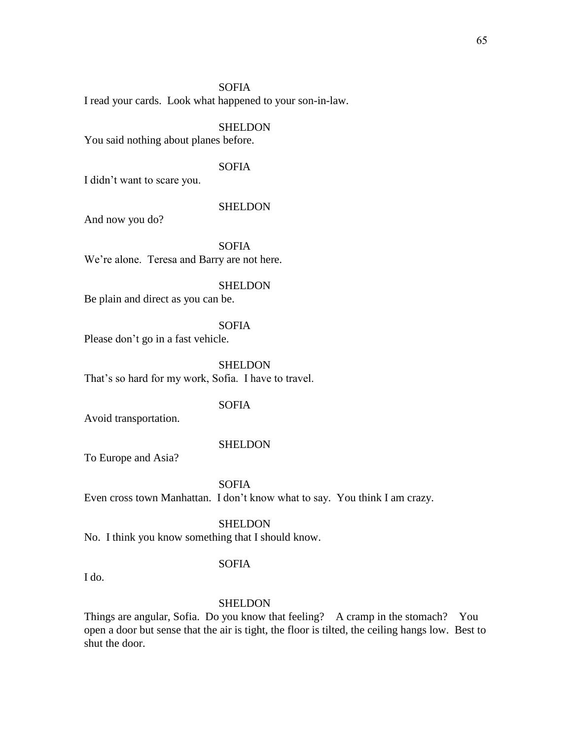## SOFIA

I read your cards. Look what happened to your son-in-law.

### SHELDON

You said nothing about planes before.

## SOFIA

I didn't want to scare you.

#### **SHELDON**

And now you do?

SOFIA We're alone. Teresa and Barry are not here.

#### SHELDON

Be plain and direct as you can be.

### SOFIA

Please don't go in a fast vehicle.

**SHELDON** That's so hard for my work, Sofia. I have to travel.

#### SOFIA

Avoid transportation.

#### SHELDON

To Europe and Asia?

SOFIA Even cross town Manhattan. I don't know what to say. You think I am crazy.

#### SHELDON

No. I think you know something that I should know.

#### SOFIA

I do.

#### SHELDON

Things are angular, Sofia. Do you know that feeling? A cramp in the stomach? You open a door but sense that the air is tight, the floor is tilted, the ceiling hangs low. Best to shut the door.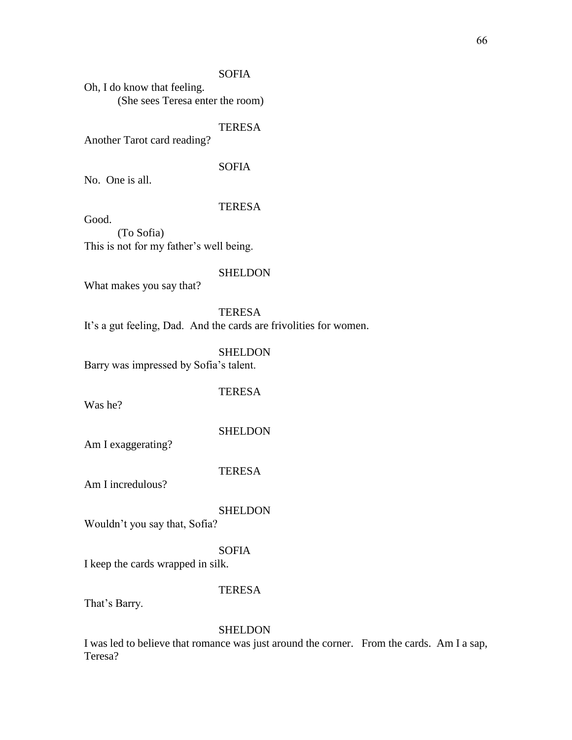## SOFIA

Oh, I do know that feeling. (She sees Teresa enter the room)

### TERESA

Another Tarot card reading?

## SOFIA

No. One is all.

### **TERESA**

Good.

(To Sofia) This is not for my father's well being.

#### **SHELDON**

What makes you say that?

## TERESA

It's a gut feeling, Dad. And the cards are frivolities for women.

## SHELDON

Barry was impressed by Sofia's talent.

## **TERESA**

Was he?

#### SHELDON

Am I exaggerating?

### TERESA

Am I incredulous?

## SHELDON

Wouldn't you say that, Sofia?

### SOFIA

I keep the cards wrapped in silk.

#### TERESA

That's Barry.

#### SHELDON

I was led to believe that romance was just around the corner. From the cards. Am I a sap, Teresa?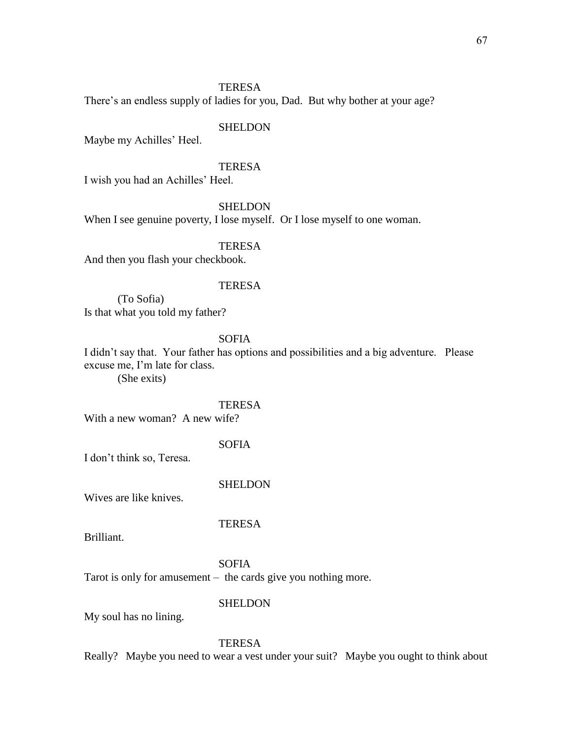## TERESA

There's an endless supply of ladies for you, Dad. But why bother at your age?

### SHELDON

Maybe my Achilles' Heel.

### **TERESA**

I wish you had an Achilles' Heel.

### **SHELDON**

When I see genuine poverty, I lose myself. Or I lose myself to one woman.

### TERESA

And then you flash your checkbook.

#### **TERESA**

(To Sofia) Is that what you told my father?

## SOFIA

I didn't say that. Your father has options and possibilities and a big adventure. Please excuse me, I'm late for class.

(She exits)

### **TERESA**

With a new woman? A new wife?

### SOFIA

I don't think so, Teresa.

#### **SHELDON**

**TERESA** 

Wives are like knives.

Brilliant.

#### SOFIA

Tarot is only for amusement – the cards give you nothing more.

### **SHELDON**

My soul has no lining.

#### **TERESA**

Really? Maybe you need to wear a vest under your suit? Maybe you ought to think about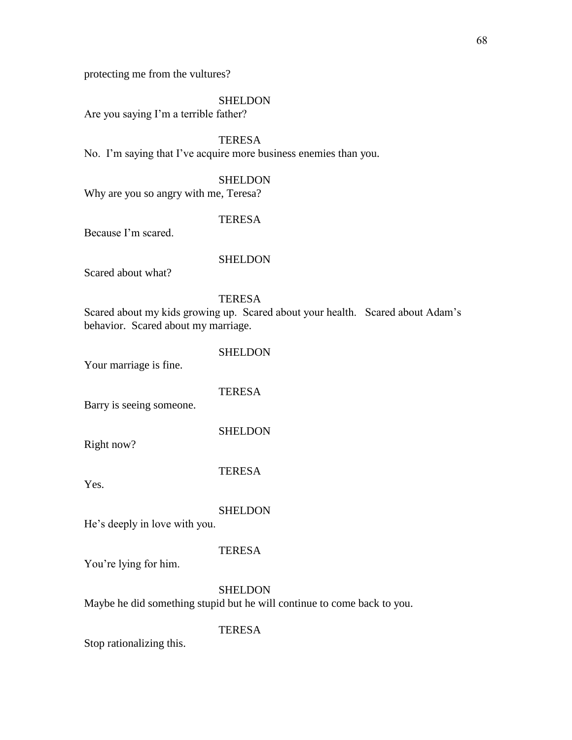protecting me from the vultures?

#### **SHELDON**

Are you saying I'm a terrible father?

**TERESA** No. I'm saying that I've acquire more business enemies than you.

**SHELDON** 

Why are you so angry with me, Teresa?

### **TERESA**

Because I'm scared.

### **SHELDON**

Scared about what?

## **TERESA**

Scared about my kids growing up. Scared about your health. Scared about Adam's behavior. Scared about my marriage.

SHELDON

Your marriage is fine.

### **TERESA**

Barry is seeing someone.

**SHELDON** 

Right now?

TERESA

Yes.

#### **SHELDON**

He's deeply in love with you.

#### **TERESA**

You're lying for him.

#### **SHELDON**

Maybe he did something stupid but he will continue to come back to you.

#### **TERESA**

Stop rationalizing this.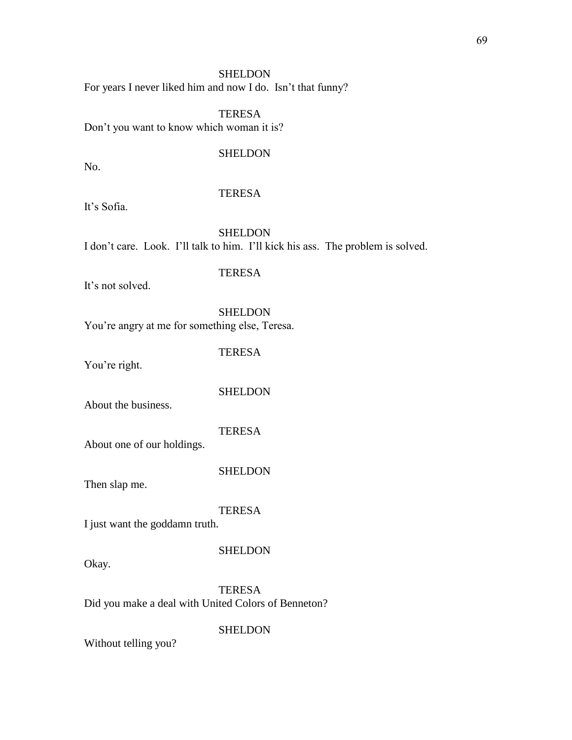### SHELDON

For years I never liked him and now I do. Isn't that funny?

TERESA Don't you want to know which woman it is?

#### SHELDON

No.

### TERESA

It's Sofia.

## SHELDON I don't care. Look. I'll talk to him. I'll kick his ass. The problem is solved.

## TERESA

It's not solved.

SHELDON You're angry at me for something else, Teresa.

**TERESA** 

You're right.

### **SHELDON**

About the business.

### TERESA

About one of our holdings.

#### SHELDON

Then slap me.

#### **TERESA**

I just want the goddamn truth.

### **SHELDON**

Okay.

**TERESA** Did you make a deal with United Colors of Benneton?

### **SHELDON**

Without telling you?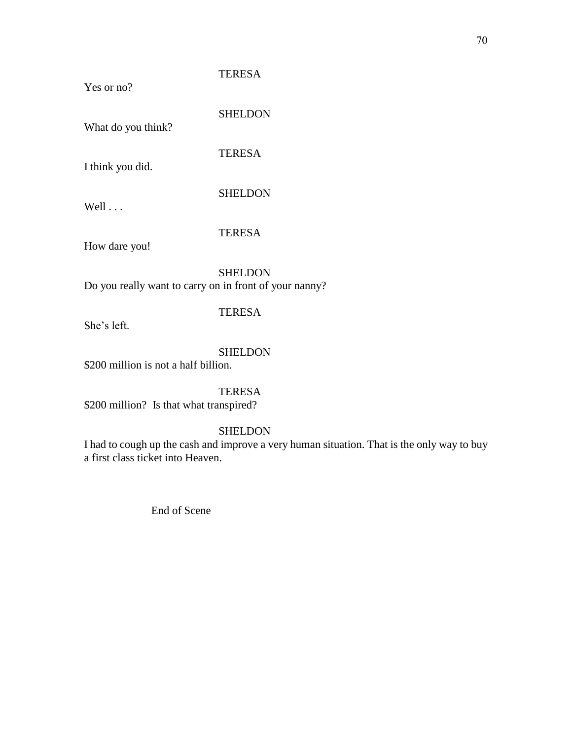## Yes or no?

## TERESA

What do you think?

SHELDON

**TERESA** 

I think you did.

SHELDON

Well . . .

TERESA

How dare you!

SHELDON Do you really want to carry on in front of your nanny?

## TERESA

She's left.

## SHELDON

\$200 million is not a half billion.

## **TERESA**

\$200 million? Is that what transpired?

## SHELDON

I had to cough up the cash and improve a very human situation. That is the only way to buy a first class ticket into Heaven.

End of Scene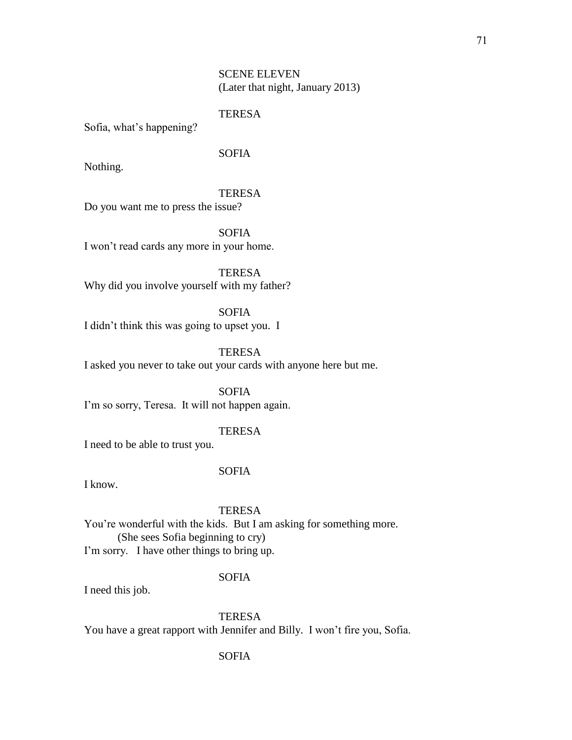## SCENE ELEVEN (Later that night, January 2013)

## **TERESA**

Sofia, what's happening?

## SOFIA

Nothing.

### TERESA

Do you want me to press the issue?

SOFIA I won't read cards any more in your home.

TERESA Why did you involve yourself with my father?

SOFIA I didn't think this was going to upset you. I

TERESA I asked you never to take out your cards with anyone here but me.

SOFIA I'm so sorry, Teresa. It will not happen again.

## **TERESA**

I need to be able to trust you.

### SOFIA

I know.

### **TERESA**

You're wonderful with the kids. But I am asking for something more. (She sees Sofia beginning to cry) I'm sorry. I have other things to bring up.

## SOFIA

I need this job.

**TERESA** 

You have a great rapport with Jennifer and Billy. I won't fire you, Sofia.

## SOFIA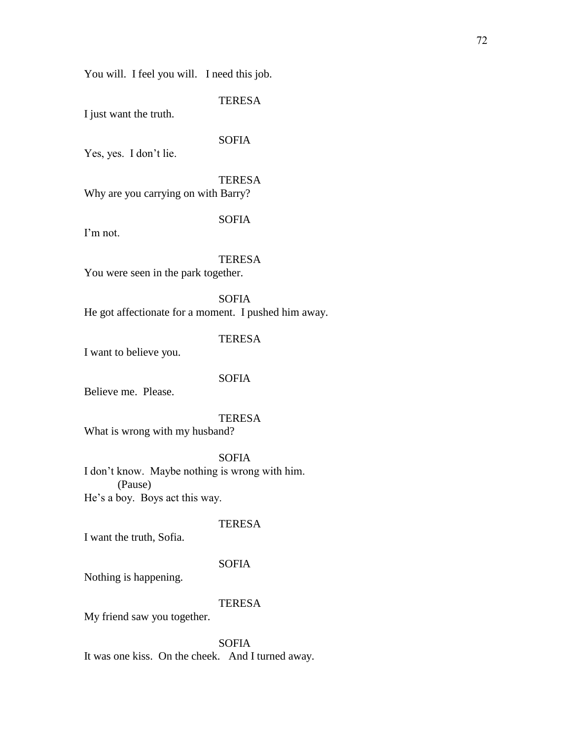You will. I feel you will. I need this job.

## **TERESA**

I just want the truth.

## SOFIA

Yes, yes. I don't lie.

## **TERESA**

Why are you carrying on with Barry?

## SOFIA

I'm not.

### **TERESA**

You were seen in the park together.

SOFIA He got affectionate for a moment. I pushed him away.

## TERESA

I want to believe you.

### SOFIA

Believe me. Please.

# **TERESA**

What is wrong with my husband?

## SOFIA

I don't know. Maybe nothing is wrong with him. (Pause) He's a boy. Boys act this way.

## **TERESA**

I want the truth, Sofia.

### SOFIA

Nothing is happening.

## **TERESA**

My friend saw you together.

SOFIA It was one kiss. On the cheek. And I turned away.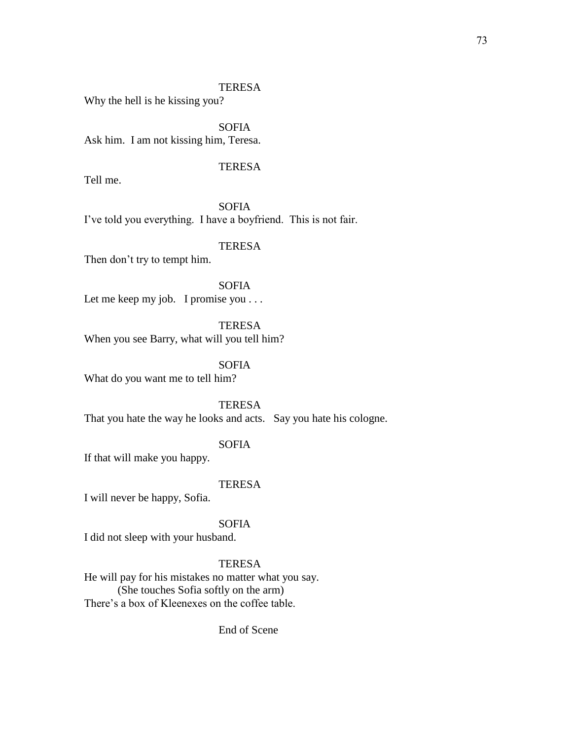Why the hell is he kissing you?

SOFIA Ask him. I am not kissing him, Teresa.

## **TERESA**

Tell me.

**SOFIA** I've told you everything. I have a boyfriend. This is not fair.

## TERESA

Then don't try to tempt him.

SOFIA Let me keep my job. I promise you . . .

**TERESA** When you see Barry, what will you tell him?

SOFIA What do you want me to tell him?

TERESA That you hate the way he looks and acts. Say you hate his cologne.

### SOFIA

If that will make you happy.

### **TERESA**

I will never be happy, Sofia.

### SOFIA

I did not sleep with your husband.

## TERESA

He will pay for his mistakes no matter what you say. (She touches Sofia softly on the arm) There's a box of Kleenexes on the coffee table.

End of Scene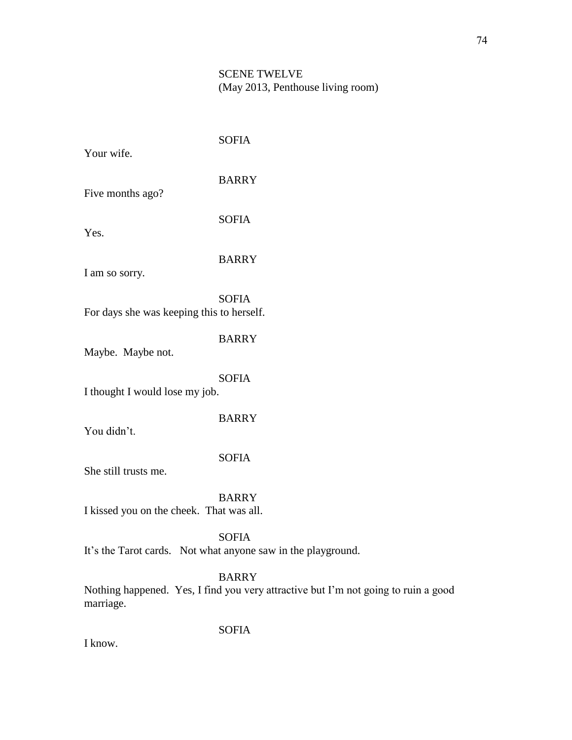# SCENE TWELVE (May 2013, Penthouse living room)

| Your wife.                                | <b>SOFIA</b>                                                                 |
|-------------------------------------------|------------------------------------------------------------------------------|
| Five months ago?                          | <b>BARRY</b>                                                                 |
| Yes.                                      | <b>SOFIA</b>                                                                 |
| I am so sorry.                            | <b>BARRY</b>                                                                 |
| For days she was keeping this to herself. | <b>SOFIA</b>                                                                 |
| Maybe. Maybe not.                         | <b>BARRY</b>                                                                 |
| I thought I would lose my job.            | <b>SOFIA</b>                                                                 |
| You didn't.                               | <b>BARRY</b>                                                                 |
| She still trusts me.                      | <b>SOFIA</b>                                                                 |
| I kissed you on the cheek. That was all.  | <b>BARRY</b>                                                                 |
|                                           | <b>SOFIA</b><br>It's the Tarot cards. Not what anyone saw in the playground. |
|                                           | <b>BARRY</b><br>Nothing happened Voc I find you year oftroctive but I'm not  |

Nothing happened. Yes, I find you very attractive but I'm not going to ruin a good marriage.

SOFIA

I know.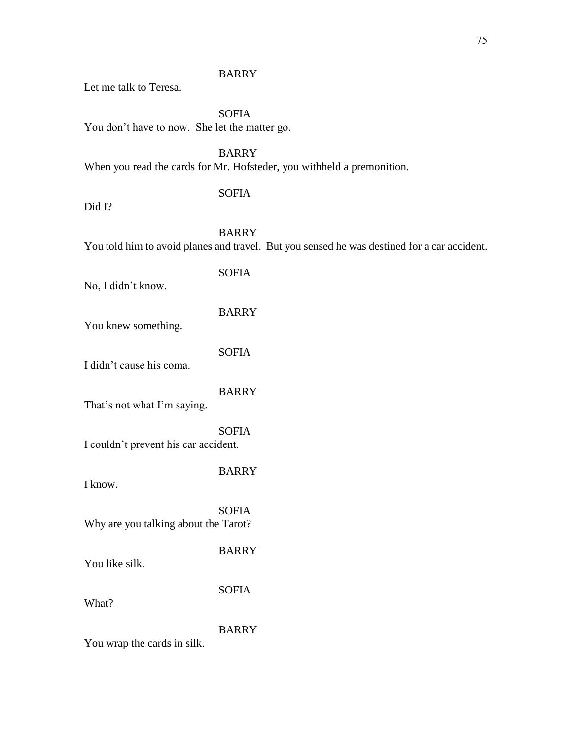## BARRY

Let me talk to Teresa.

SOFIA You don't have to now. She let the matter go.

BARRY When you read the cards for Mr. Hofsteder, you withheld a premonition.

## SOFIA

Did I?

BARRY You told him to avoid planes and travel. But you sensed he was destined for a car accident.

# SOFIA

No, I didn't know.

## BARRY

You knew something.

SOFIA

I didn't cause his coma.

### BARRY

That's not what I'm saying.

SOFIA I couldn't prevent his car accident.

## BARRY

I know.

SOFIA Why are you talking about the Tarot?

BARRY

You like silk.

SOFIA

What?

# BARRY

You wrap the cards in silk.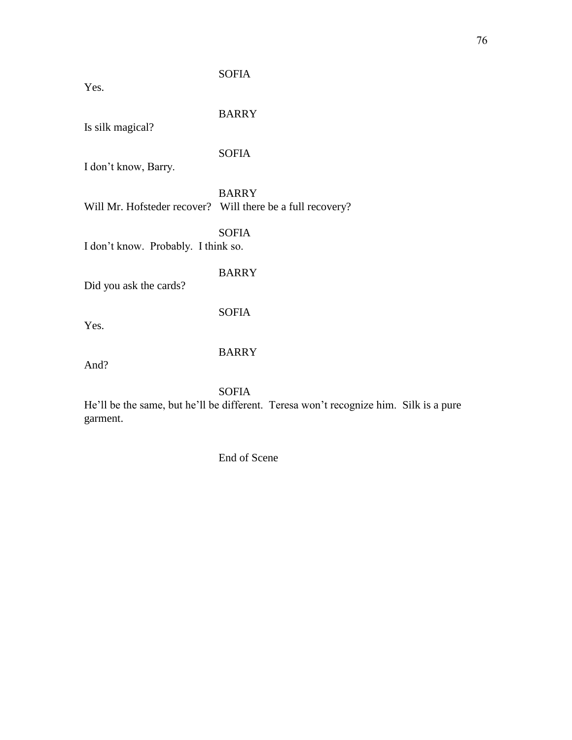| Yes.                                                | <b>SOFIA</b>                                                                   |
|-----------------------------------------------------|--------------------------------------------------------------------------------|
| Is silk magical?                                    | <b>BARRY</b>                                                                   |
| I don't know, Barry.                                | <b>SOFIA</b>                                                                   |
|                                                     | <b>BARRY</b><br>Will Mr. Hofsteder recover? Will there be a full recovery?     |
| <b>SOFIA</b><br>I don't know. Probably. I think so. |                                                                                |
| Did you ask the cards?                              | <b>BARRY</b>                                                                   |
| Yes.                                                | <b>SOFIA</b>                                                                   |
| And?                                                | <b>BARRY</b>                                                                   |
|                                                     | <b>SOFIA</b><br>He'll be the same, but he'll be different. Teresa won't recogn |

He'll be the same, but he'll be different. Teresa won't recognize him. Silk is a pure garment.

End of Scene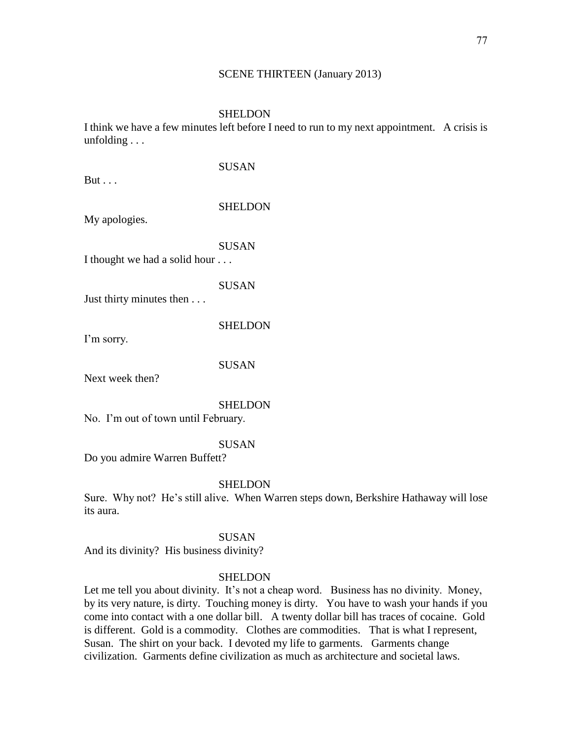#### SCENE THIRTEEN (January 2013)

#### SHELDON

I think we have a few minutes left before I need to run to my next appointment. A crisis is unfolding . . .

 $But \ldots$ 

SUSAN

### SHELDON

My apologies.

SUSAN

I thought we had a solid hour . . .

### SUSAN

Just thirty minutes then . . .

SHELDON

I'm sorry.

SUSAN

Next week then?

#### SHELDON

No. I'm out of town until February.

### SUSAN

Do you admire Warren Buffett?

### **SHELDON**

Sure. Why not? He's still alive. When Warren steps down, Berkshire Hathaway will lose its aura.

### SUSAN

And its divinity? His business divinity?

### **SHELDON**

Let me tell you about divinity. It's not a cheap word. Business has no divinity. Money, by its very nature, is dirty. Touching money is dirty. You have to wash your hands if you come into contact with a one dollar bill. A twenty dollar bill has traces of cocaine. Gold is different. Gold is a commodity. Clothes are commodities. That is what I represent, Susan. The shirt on your back. I devoted my life to garments. Garments change civilization. Garments define civilization as much as architecture and societal laws.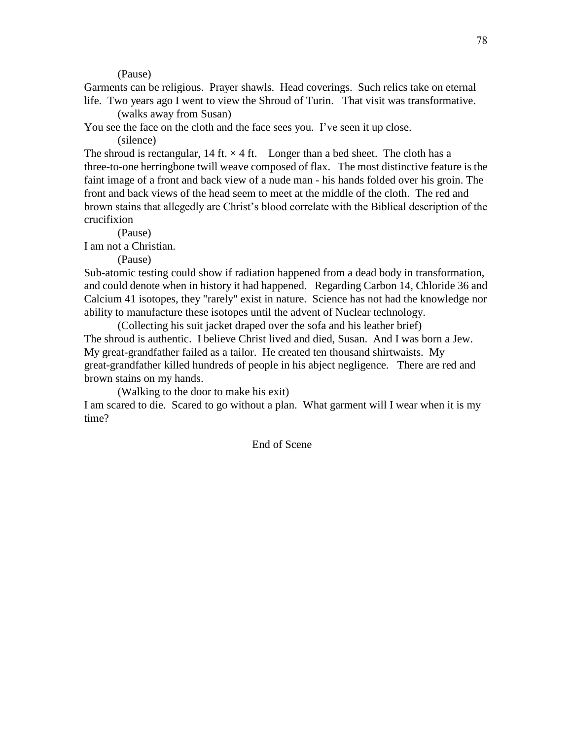(Pause)

Garments can be religious. Prayer shawls. Head coverings. Such relics take on eternal life. Two years ago I went to view the Shroud of Turin. That visit was transformative.

(walks away from Susan)

You see the face on the cloth and the face sees you. I've seen it up close.

(silence)

The shroud is rectangular, 14 ft.  $\times$  4 ft. Longer than a bed sheet. The cloth has a three-to-one herringbone twill weave composed of flax. The most distinctive feature is the faint image of a front and back view of a nude man - his hands folded over his groin. The front and back views of the head seem to meet at the middle of the cloth. The red and brown stains that allegedly are Christ's blood correlate with the Biblical description of the crucifixion

(Pause)

I am not a Christian.

(Pause)

Sub-atomic testing could show if radiation happened from a dead body in transformation, and could denote when in history it had happened. Regarding Carbon 14, Chloride 36 and Calcium 41 isotopes, they "rarely" exist in nature. Science has not had the knowledge nor ability to manufacture these isotopes until the advent of Nuclear technology.

(Collecting his suit jacket draped over the sofa and his leather brief) The shroud is authentic. I believe Christ lived and died, Susan. And I was born a Jew. My great-grandfather failed as a tailor. He created ten thousand shirtwaists. My great-grandfather killed hundreds of people in his abject negligence. There are red and brown stains on my hands.

(Walking to the door to make his exit)

I am scared to die. Scared to go without a plan. What garment will I wear when it is my time?

End of Scene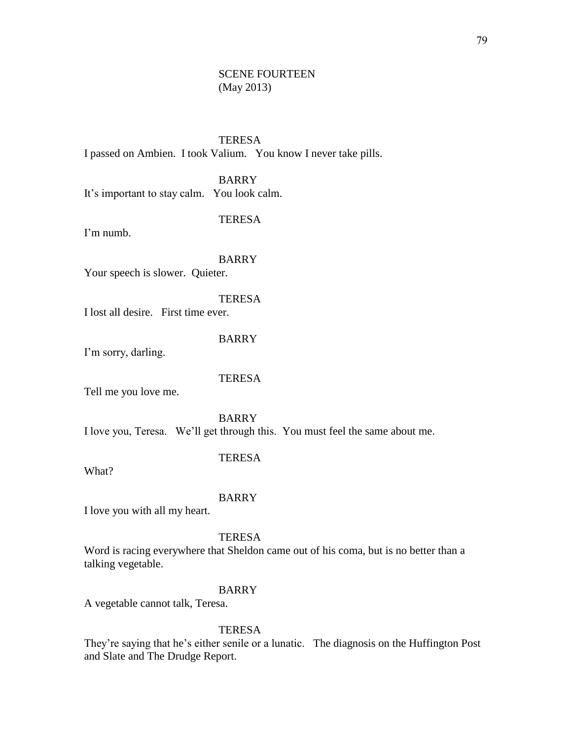## SCENE FOURTEEN (May 2013)

**TERESA** I passed on Ambien. I took Valium. You know I never take pills.

BARRY It's important to stay calm. You look calm.

#### TERESA

I'm numb.

#### BARRY

Your speech is slower. Quieter.

TERESA

I lost all desire. First time ever.

BARRY

I'm sorry, darling.

#### **TERESA**

Tell me you love me.

BARRY I love you, Teresa. We'll get through this. You must feel the same about me.

## TERESA

What?

#### BARRY

I love you with all my heart.

**TERESA** 

Word is racing everywhere that Sheldon came out of his coma, but is no better than a talking vegetable.

#### BARRY

A vegetable cannot talk, Teresa.

#### TERESA

They're saying that he's either senile or a lunatic. The diagnosis on the Huffington Post and Slate and The Drudge Report.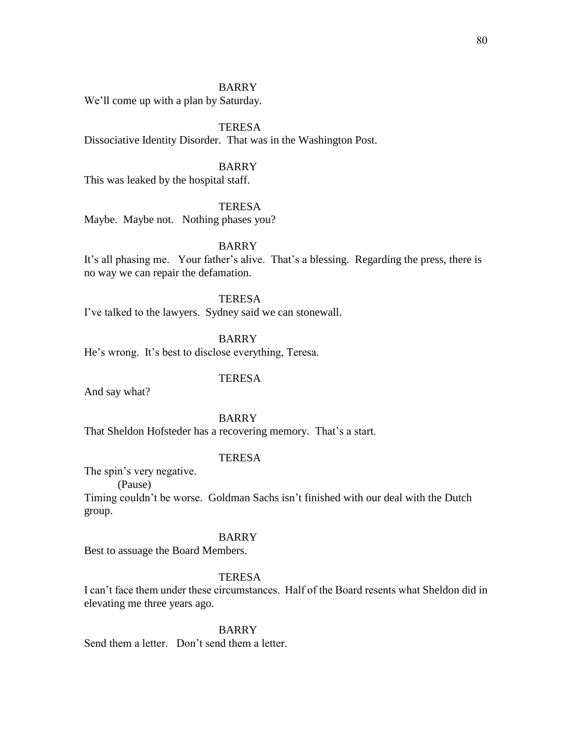### BARRY

We'll come up with a plan by Saturday.

TERESA Dissociative Identity Disorder. That was in the Washington Post.

### BARRY

This was leaked by the hospital staff.

## **TERESA**

Maybe. Maybe not. Nothing phases you?

BARRY

It's all phasing me. Your father's alive. That's a blessing. Regarding the press, there is no way we can repair the defamation.

**TERESA** I've talked to the lawyers. Sydney said we can stonewall.

BARRY He's wrong. It's best to disclose everything, Teresa.

### **TERESA**

And say what?

BARRY

That Sheldon Hofsteder has a recovering memory. That's a start.

## TERESA

The spin's very negative. (Pause)

Timing couldn't be worse. Goldman Sachs isn't finished with our deal with the Dutch group.

## BARRY

Best to assuage the Board Members.

## **TERESA**

I can't face them under these circumstances. Half of the Board resents what Sheldon did in elevating me three years ago.

BARRY

Send them a letter. Don't send them a letter.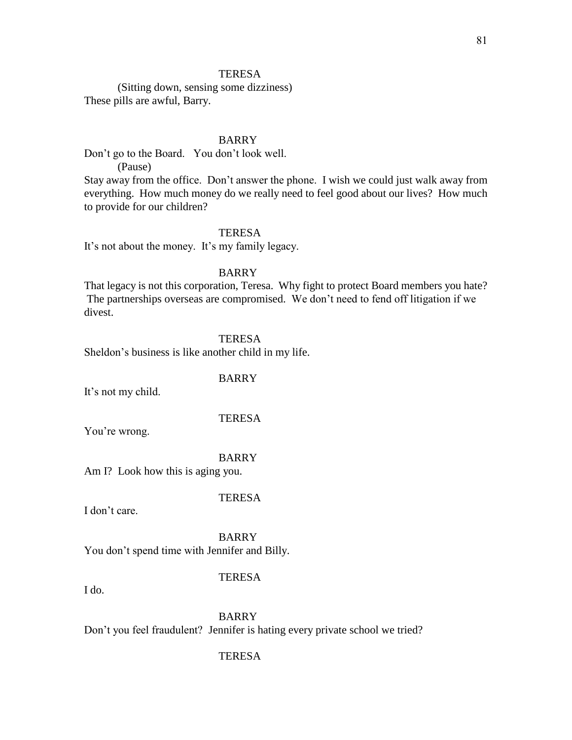#### **TERESA**

(Sitting down, sensing some dizziness) These pills are awful, Barry.

### BARRY

Don't go to the Board. You don't look well.

(Pause)

Stay away from the office. Don't answer the phone. I wish we could just walk away from everything. How much money do we really need to feel good about our lives? How much to provide for our children?

### TERESA

It's not about the money. It's my family legacy.

## BARRY

That legacy is not this corporation, Teresa. Why fight to protect Board members you hate? The partnerships overseas are compromised. We don't need to fend off litigation if we divest.

### **TERESA**

Sheldon's business is like another child in my life.

### BARRY

It's not my child.

## **TERESA**

You're wrong.

## BARRY

Am I? Look how this is aging you.

#### **TERESA**

I don't care.

BARRY You don't spend time with Jennifer and Billy.

## **TERESA**

I do.

BARRY Don't you feel fraudulent? Jennifer is hating every private school we tried?

#### TERESA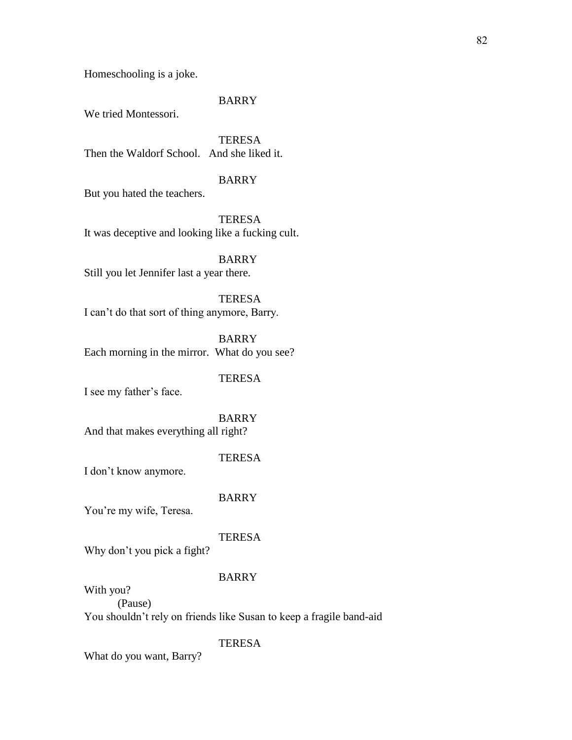Homeschooling is a joke.

### BARRY

We tried Montessori.

**TERESA** Then the Waldorf School. And she liked it.

## BARRY

But you hated the teachers.

TERESA It was deceptive and looking like a fucking cult.

BARRY Still you let Jennifer last a year there.

**TERESA** I can't do that sort of thing anymore, Barry.

BARRY Each morning in the mirror. What do you see?

### **TERESA**

I see my father's face.

BARRY And that makes everything all right?

## TERESA

I don't know anymore.

#### BARRY

You're my wife, Teresa.

## **TERESA**

Why don't you pick a fight?

## BARRY

With you? (Pause) You shouldn't rely on friends like Susan to keep a fragile band-aid

## TERESA

What do you want, Barry?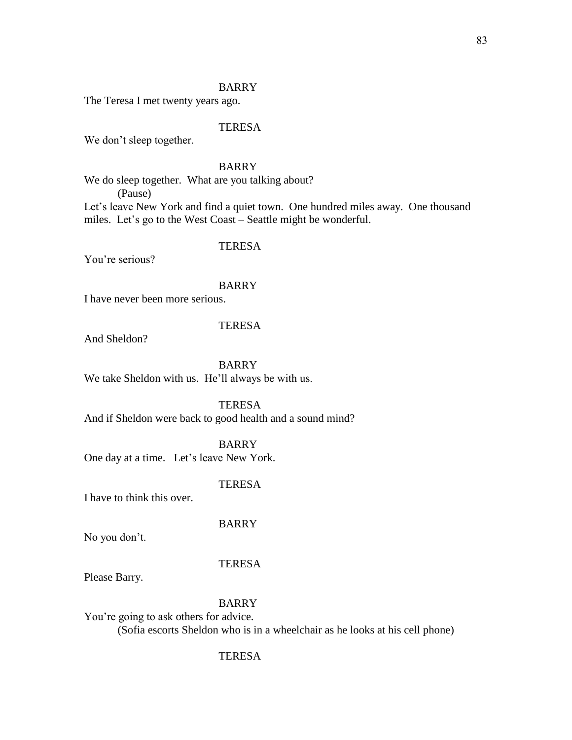## BARRY

The Teresa I met twenty years ago.

### TERESA

We don't sleep together.

## BARRY

We do sleep together. What are you talking about?

(Pause)

Let's leave New York and find a quiet town. One hundred miles away. One thousand miles. Let's go to the West Coast – Seattle might be wonderful.

## TERESA

You're serious?

#### BARRY

I have never been more serious.

## **TERESA**

And Sheldon?

BARRY

We take Sheldon with us. He'll always be with us.

**TERESA** 

And if Sheldon were back to good health and a sound mind?

BARRY

One day at a time. Let's leave New York.

### **TERESA**

I have to think this over.

BARRY

No you don't.

#### TERESA

Please Barry.

## BARRY

You're going to ask others for advice. (Sofia escorts Sheldon who is in a wheelchair as he looks at his cell phone)

### **TERESA**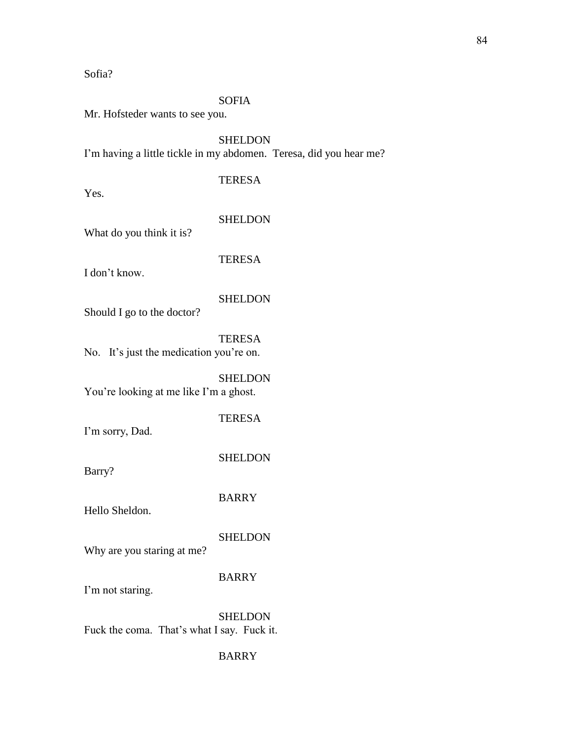Sofia?

### SOFIA

Mr. Hofsteder wants to see you.

**SHELDON** I'm having a little tickle in my abdomen. Teresa, did you hear me?

## TERESA

Yes.

#### SHELDON

What do you think it is?

**TERESA** 

I don't know.

## **SHELDON**

Should I go to the doctor?

TERESA No. It's just the medication you're on.

**SHELDON** You're looking at me like I'm a ghost.

I'm sorry, Dad.

**SHELDON** 

TERESA

Barry?

BARRY

Hello Sheldon.

## **SHELDON**

Why are you staring at me?

## BARRY

I'm not staring.

**SHELDON** Fuck the coma. That's what I say. Fuck it.

### BARRY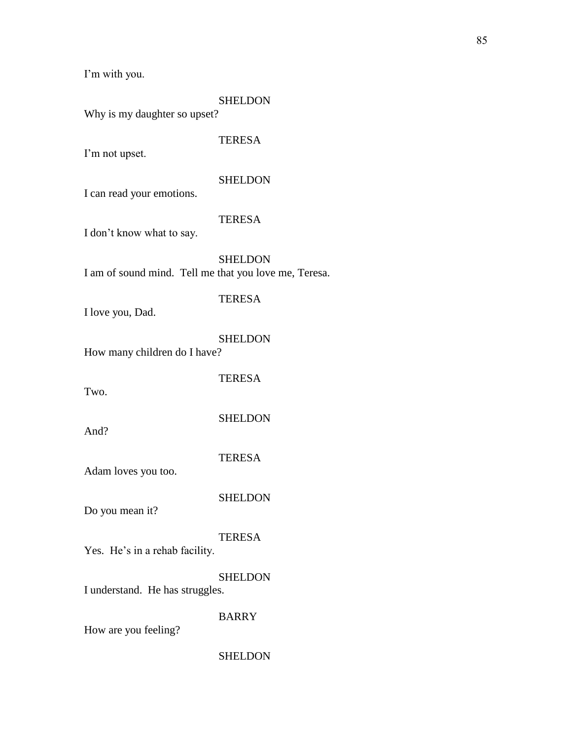I'm with you.

## **SHELDON**

Why is my daughter so upset?

## **TERESA**

I'm not upset.

### **SHELDON**

I can read your emotions.

#### TERESA

I don't know what to say.

**SHELDON** I am of sound mind. Tell me that you love me, Teresa.

# **TERESA**

I love you, Dad.

## SHELDON

How many children do I have?

TERESA

Two.

**SHELDON** 

And?

TERESA

Adam loves you too.

**SHELDON** 

Do you mean it?

## TERESA

Yes. He's in a rehab facility.

**SHELDON** 

I understand. He has struggles.

BARRY

How are you feeling?

#### SHELDON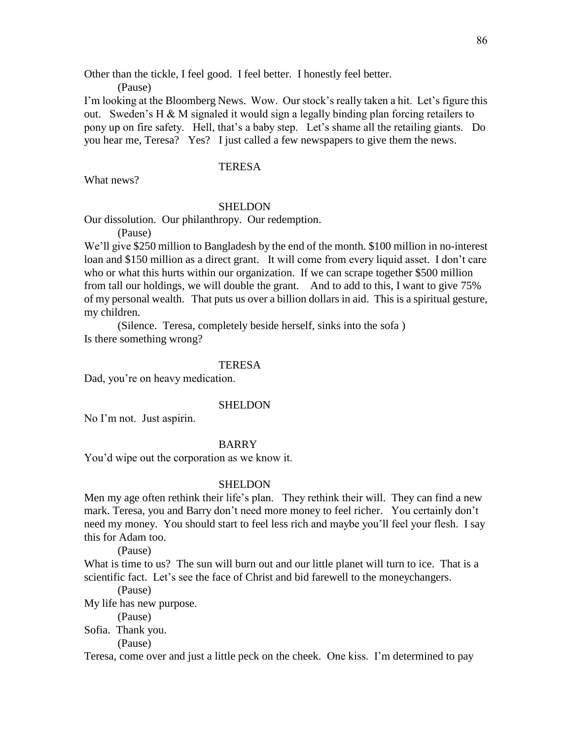Other than the tickle, I feel good. I feel better. I honestly feel better.

(Pause)

I'm looking at the Bloomberg News. Wow. Our stock's really taken a hit. Let's figure this out. Sweden's H  $\&$  M signaled it would sign a legally binding plan forcing retailers to pony up on fire safety. Hell, that's a baby step. Let's shame all the retailing giants. Do you hear me, Teresa? Yes? I just called a few newspapers to give them the news.

## **TERESA**

What news?

#### SHELDON

Our dissolution. Our philanthropy. Our redemption.

(Pause)

We'll give \$250 million to Bangladesh by the end of the month. \$100 million in no-interest loan and \$150 million as a direct grant. It will come from every liquid asset. I don't care who or what this hurts within our organization. If we can scrape together \$500 million from tall our holdings, we will double the grant. And to add to this, I want to give 75% of my personal wealth. That puts us over a billion dollars in aid. This is a spiritual gesture, my children.

(Silence. Teresa, completely beside herself, sinks into the sofa ) Is there something wrong?

#### **TERESA**

Dad, you're on heavy medication.

#### SHELDON

No I'm not. Just aspirin.

#### BARRY

You'd wipe out the corporation as we know it.

### **SHELDON**

Men my age often rethink their life's plan. They rethink their will. They can find a new mark. Teresa, you and Barry don't need more money to feel richer. You certainly don't need my money. You should start to feel less rich and maybe you'll feel your flesh. I say this for Adam too.

(Pause)

What is time to us? The sun will burn out and our little planet will turn to ice. That is a scientific fact. Let's see the face of Christ and bid farewell to the moneychangers.

(Pause)

My life has new purpose.

(Pause)

Sofia. Thank you.

(Pause)

Teresa, come over and just a little peck on the cheek. One kiss. I'm determined to pay